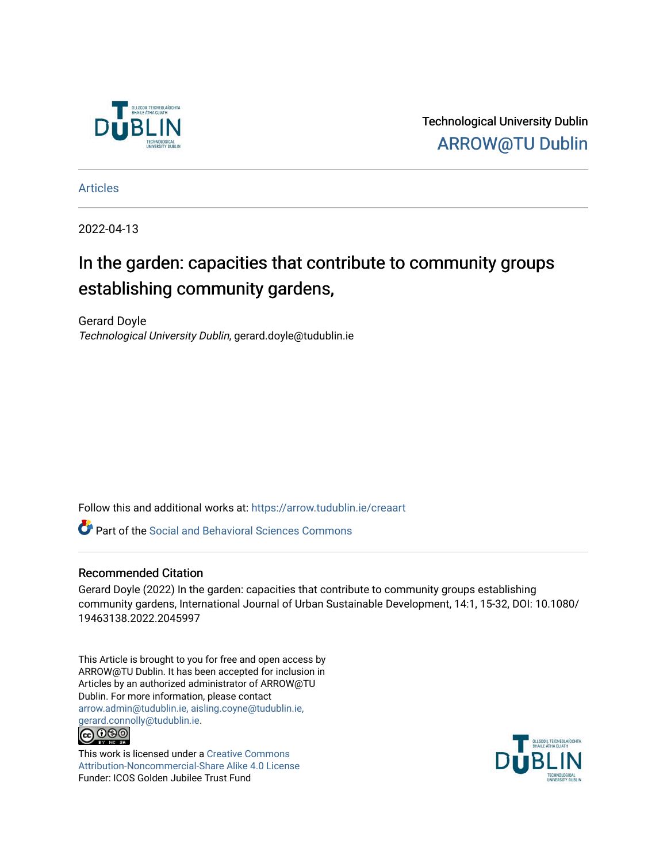

Technological University Dublin [ARROW@TU Dublin](https://arrow.tudublin.ie/) 

[Articles](https://arrow.tudublin.ie/creaart)

2022-04-13

# In the garden: capacities that contribute to community groups establishing community gardens,

Gerard Doyle Technological University Dublin, gerard.doyle@tudublin.ie

Follow this and additional works at: [https://arrow.tudublin.ie/creaart](https://arrow.tudublin.ie/creaart?utm_source=arrow.tudublin.ie%2Fcreaart%2F65&utm_medium=PDF&utm_campaign=PDFCoverPages) 

Part of the [Social and Behavioral Sciences Commons](http://network.bepress.com/hgg/discipline/316?utm_source=arrow.tudublin.ie%2Fcreaart%2F65&utm_medium=PDF&utm_campaign=PDFCoverPages) 

# Recommended Citation

Gerard Doyle (2022) In the garden: capacities that contribute to community groups establishing community gardens, International Journal of Urban Sustainable Development, 14:1, 15-32, DOI: 10.1080/ 19463138.2022.2045997

This Article is brought to you for free and open access by ARROW@TU Dublin. It has been accepted for inclusion in Articles by an authorized administrator of ARROW@TU Dublin. For more information, please contact [arrow.admin@tudublin.ie, aisling.coyne@tudublin.ie,](mailto:arrow.admin@tudublin.ie,%20aisling.coyne@tudublin.ie,%20gerard.connolly@tudublin.ie)  [gerard.connolly@tudublin.ie](mailto:arrow.admin@tudublin.ie,%20aisling.coyne@tudublin.ie,%20gerard.connolly@tudublin.ie). **@** 00

This work is licensed under a [Creative Commons](http://creativecommons.org/licenses/by-nc-sa/4.0/) [Attribution-Noncommercial-Share Alike 4.0 License](http://creativecommons.org/licenses/by-nc-sa/4.0/) Funder: ICOS Golden Jubilee Trust Fund

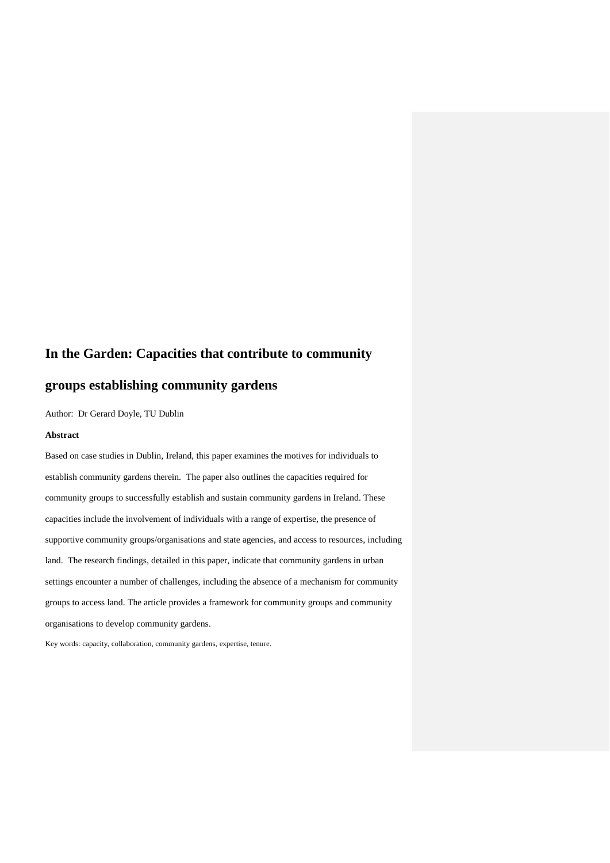# **In the Garden: Capacities that contribute to community**

# **groups establishing community gardens**

Author: Dr Gerard Doyle, TU Dublin

# **Abstract**

Based on case studies in Dublin, Ireland, this paper examines the motives for individuals to establish community gardens therein. The paper also outlines the capacities required for community groups to successfully establish and sustain community gardens in Ireland. These capacities include the involvement of individuals with a range of expertise, the presence of supportive community groups/organisations and state agencies, and access to resources, including land. The research findings, detailed in this paper, indicate that community gardens in urban settings encounter a number of challenges, including the absence of a mechanism for community groups to access land. The article provides a framework for community groups and community organisations to develop community gardens.

Key words: capacity, collaboration, community gardens, expertise, tenure.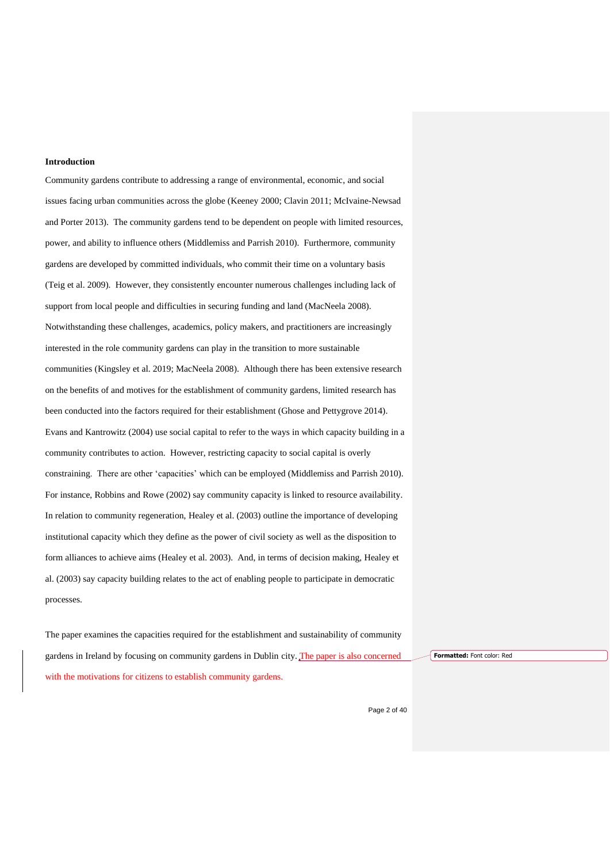#### **Introduction**

Community gardens contribute to addressing a range of environmental, economic, and social issues facing urban communities across the globe (Keeney 2000; Clavin 2011; McIvaine-Newsad and Porter 2013). The community gardens tend to be dependent on people with limited resources, power, and ability to influence others (Middlemiss and Parrish 2010). Furthermore, community gardens are developed by committed individuals, who commit their time on a voluntary basis (Teig et al. 2009). However, they consistently encounter numerous challenges including lack of support from local people and difficulties in securing funding and land (MacNeela 2008). Notwithstanding these challenges, academics, policy makers, and practitioners are increasingly interested in the role community gardens can play in the transition to more sustainable communities (Kingsley et al. 2019; MacNeela 2008). Although there has been extensive research on the benefits of and motives for the establishment of community gardens, limited research has been conducted into the factors required for their establishment (Ghose and Pettygrove 2014). Evans and Kantrowitz (2004) use social capital to refer to the ways in which capacity building in a community contributes to action. However, restricting capacity to social capital is overly constraining. There are other 'capacities' which can be employed (Middlemiss and Parrish 2010). For instance, Robbins and Rowe (2002) say community capacity is linked to resource availability. In relation to community regeneration, Healey et al. (2003) outline the importance of developing institutional capacity which they define as the power of civil society as well as the disposition to form alliances to achieve aims (Healey et al. 2003). And, in terms of decision making, Healey et al. (2003) say capacity building relates to the act of enabling people to participate in democratic processes.

The paper examines the capacities required for the establishment and sustainability of community gardens in Ireland by focusing on community gardens in Dublin city. The paper is also concerned with the motivations for citizens to establish community gardens.

**Formatted:** Font color: Red

Page 2 of 40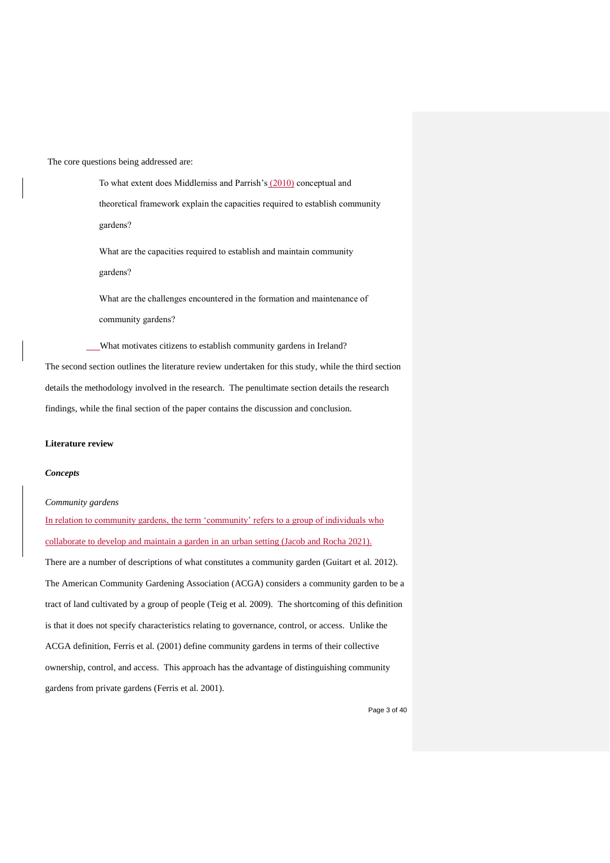The core questions being addressed are:

To what extent does Middlemiss and Parrish's (2010) conceptual and theoretical framework explain the capacities required to establish community gardens? What are the capacities required to establish and maintain community gardens? What are the challenges encountered in the formation and maintenance of community gardens? What motivates citizens to establish community gardens in Ireland?

The second section outlines the literature review undertaken for this study, while the third section details the methodology involved in the research. The penultimate section details the research findings, while the final section of the paper contains the discussion and conclusion.

#### **Literature review**

#### *Concepts*

*Community gardens*

In relation to community gardens, the term 'community' refers to a group of individuals who collaborate to develop and maintain a garden in an urban setting (Jacob and Rocha 2021).

There are a number of descriptions of what constitutes a community garden (Guitart et al*.* 2012). The American Community Gardening Association (ACGA) considers a community garden to be a tract of land cultivated by a group of people (Teig et al*.* 2009). The shortcoming of this definition is that it does not specify characteristics relating to governance, control, or access. Unlike the ACGA definition, Ferris et al*.* (2001) define community gardens in terms of their collective ownership, control, and access. This approach has the advantage of distinguishing community gardens from private gardens (Ferris et al. 2001).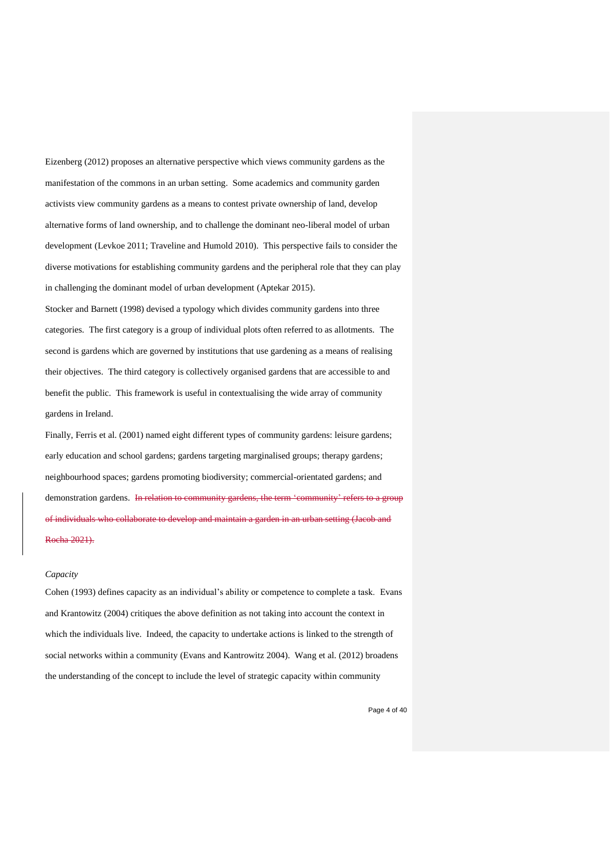Eizenberg (2012) proposes an alternative perspective which views community gardens as the manifestation of the commons in an urban setting. Some academics and community garden activists view community gardens as a means to contest private ownership of land, develop alternative forms of land ownership, and to challenge the dominant neo-liberal model of urban development (Levkoe 2011; Traveline and Humold 2010). This perspective fails to consider the diverse motivations for establishing community gardens and the peripheral role that they can play in challenging the dominant model of urban development (Aptekar 2015).

Stocker and Barnett (1998) devised a typology which divides community gardens into three categories. The first category is a group of individual plots often referred to as allotments. The second is gardens which are governed by institutions that use gardening as a means of realising their objectives. The third category is collectively organised gardens that are accessible to and benefit the public. This framework is useful in contextualising the wide array of community gardens in Ireland.

Finally, Ferris et al. (2001) named eight different types of community gardens: leisure gardens; early education and school gardens; gardens targeting marginalised groups; therapy gardens; neighbourhood spaces; gardens promoting biodiversity; commercial-orientated gardens; and demonstration gardens. In relation to community gardens, the term 'community' refers to a group of individuals who collaborate to develop and maintain a garden in an urban setting (Jacob and Rocha 2021).

#### *Capacity*

Cohen (1993) defines capacity as an individual's ability or competence to complete a task. Evans and Krantowitz (2004) critiques the above definition as not taking into account the context in which the individuals live. Indeed, the capacity to undertake actions is linked to the strength of social networks within a community (Evans and Kantrowitz 2004). Wang et al. (2012) broadens the understanding of the concept to include the level of strategic capacity within community

Page 4 of 40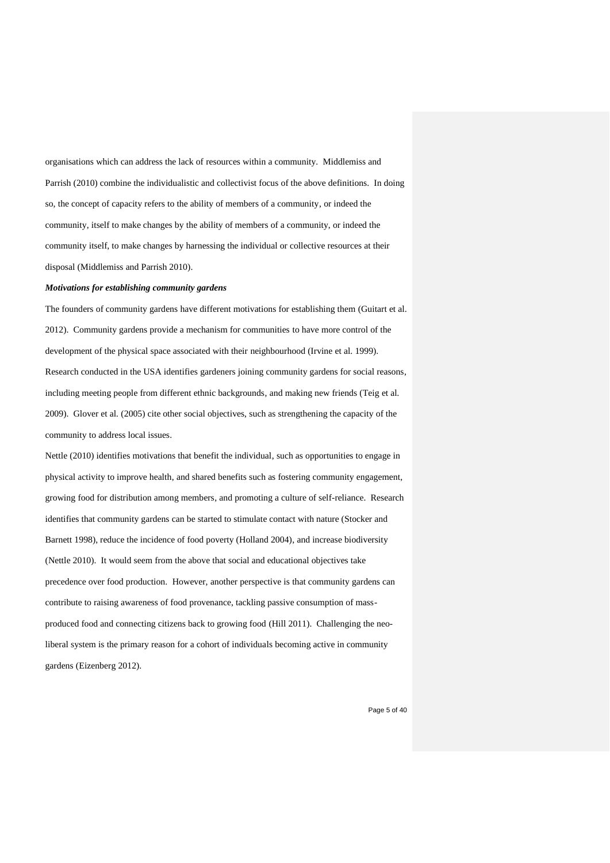organisations which can address the lack of resources within a community. Middlemiss and Parrish (2010) combine the individualistic and collectivist focus of the above definitions. In doing so, the concept of capacity refers to the ability of members of a community, or indeed the community, itself to make changes by the ability of members of a community, or indeed the community itself, to make changes by harnessing the individual or collective resources at their disposal (Middlemiss and Parrish 2010).

#### *Motivations for establishing community gardens*

The founders of community gardens have different motivations for establishing them (Guitart et al. 2012). Community gardens provide a mechanism for communities to have more control of the development of the physical space associated with their neighbourhood (Irvine et al. 1999). Research conducted in the USA identifies gardeners joining community gardens for social reasons, including meeting people from different ethnic backgrounds, and making new friends (Teig et al*.* 2009). Glover et al*.* (2005) cite other social objectives, such as strengthening the capacity of the community to address local issues.

Nettle (2010) identifies motivations that benefit the individual, such as opportunities to engage in physical activity to improve health, and shared benefits such as fostering community engagement, growing food for distribution among members, and promoting a culture of self-reliance. Research identifies that community gardens can be started to stimulate contact with nature (Stocker and Barnett 1998), reduce the incidence of food poverty (Holland 2004), and increase biodiversity (Nettle 2010). It would seem from the above that social and educational objectives take precedence over food production. However, another perspective is that community gardens can contribute to raising awareness of food provenance, tackling passive consumption of massproduced food and connecting citizens back to growing food (Hill 2011). Challenging the neoliberal system is the primary reason for a cohort of individuals becoming active in community gardens (Eizenberg 2012).

Page 5 of 40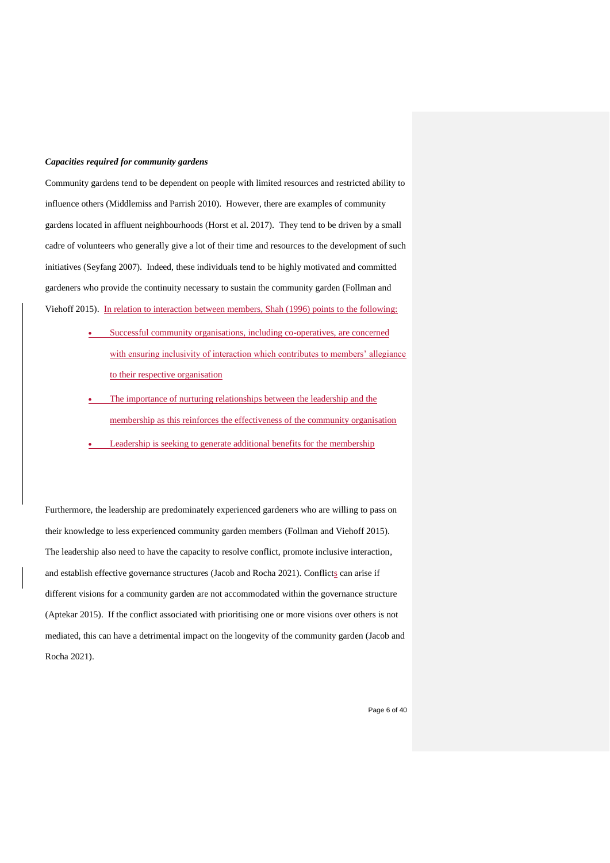#### *Capacities required for community gardens*

Community gardens tend to be dependent on people with limited resources and restricted ability to influence others (Middlemiss and Parrish 2010). However, there are examples of community gardens located in affluent neighbourhoods (Horst et al. 2017). They tend to be driven by a small cadre of volunteers who generally give a lot of their time and resources to the development of such initiatives (Seyfang 2007). Indeed, these individuals tend to be highly motivated and committed gardeners who provide the continuity necessary to sustain the community garden (Follman and Viehoff 2015). In relation to interaction between members, Shah (1996) points to the following:

- Successful community organisations, including co-operatives, are concerned with ensuring inclusivity of interaction which contributes to members' allegiance to their respective organisation
- The importance of nurturing relationships between the leadership and the membership as this reinforces the effectiveness of the community organisation
- Leadership is seeking to generate additional benefits for the membership

Furthermore, the leadership are predominately experienced gardeners who are willing to pass on their knowledge to less experienced community garden members (Follman and Viehoff 2015). The leadership also need to have the capacity to resolve conflict, promote inclusive interaction, and establish effective governance structures (Jacob and Rocha 2021). Conflicts can arise if different visions for a community garden are not accommodated within the governance structure (Aptekar 2015). If the conflict associated with prioritising one or more visions over others is not mediated, this can have a detrimental impact on the longevity of the community garden (Jacob and Rocha 2021).

Page 6 of 40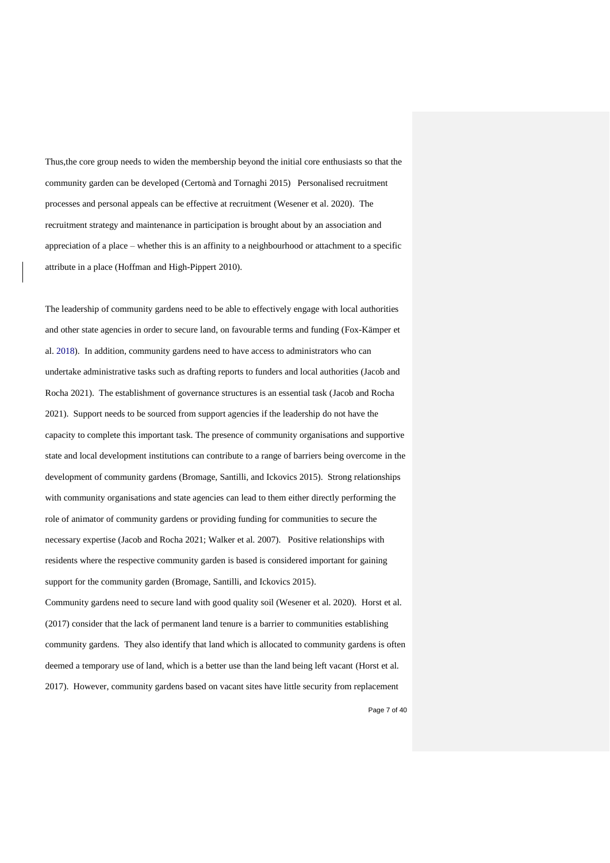Thus,the core group needs to widen the membership beyond the initial core enthusiasts so that the community garden can be developed (Certomà and Tornaghi 2015) Personalised recruitment processes and personal appeals can be effective at recruitment (Wesener et al. 2020). The recruitment strategy and maintenance in participation is brought about by an association and appreciation of a place – whether this is an affinity to a neighbourhood or attachment to a specific attribute in a place (Hoffman and High-Pippert 2010).

The leadership of community gardens need to be able to effectively engage with local authorities and other state agencies in order to secure land, on favourable terms and funding (Fox-Kämper et al. 2018). In addition, community gardens need to have access to administrators who can undertake administrative tasks such as drafting reports to funders and local authorities (Jacob and Rocha 2021). The establishment of governance structures is an essential task (Jacob and Rocha 2021). Support needs to be sourced from support agencies if the leadership do not have the capacity to complete this important task. The presence of community organisations and supportive state and local development institutions can contribute to a range of barriers being overcome in the development of community gardens (Bromage, Santilli, and Ickovics 2015). Strong relationships with community organisations and state agencies can lead to them either directly performing the role of animator of community gardens or providing funding for communities to secure the necessary expertise (Jacob and Rocha 2021; Walker et al*.* 2007). Positive relationships with residents where the respective community garden is based is considered important for gaining support for the community garden (Bromage, Santilli, and Ickovics 2015).

Community gardens need to secure land with good quality soil (Wesener et al. 2020). Horst et al. (2017) consider that the lack of permanent land tenure is a barrier to communities establishing community gardens. They also identify that land which is allocated to community gardens is often deemed a temporary use of land, which is a better use than the land being left vacant (Horst et al. 2017). However, community gardens based on vacant sites have little security from replacement

Page 7 of 40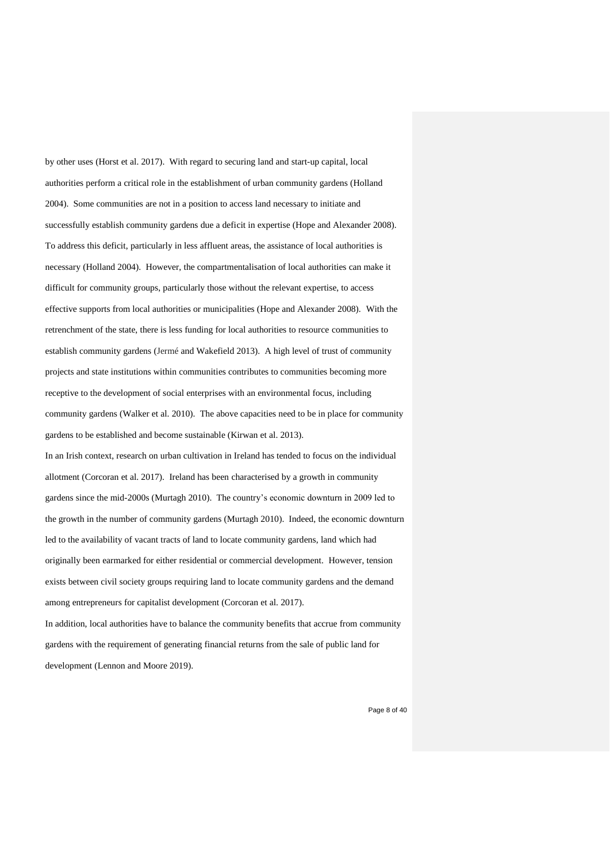by other uses (Horst et al. 2017). With regard to securing land and start-up capital, local authorities perform a critical role in the establishment of urban community gardens (Holland 2004). Some communities are not in a position to access land necessary to initiate and successfully establish community gardens due a deficit in expertise (Hope and Alexander 2008). To address this deficit, particularly in less affluent areas, the assistance of local authorities is necessary (Holland 2004). However, the compartmentalisation of local authorities can make it difficult for community groups, particularly those without the relevant expertise, to access effective supports from local authorities or municipalities (Hope and Alexander 2008). With the retrenchment of the state, there is less funding for local authorities to resource communities to establish community gardens (Jermé and Wakefield 2013). A high level of trust of community projects and state institutions within communities contributes to communities becoming more receptive to the development of social enterprises with an environmental focus, including community gardens (Walker et al. 2010). The above capacities need to be in place for community gardens to be established and become sustainable (Kirwan et al. 2013). In an Irish context, research on urban cultivation in Ireland has tended to focus on the individual allotment (Corcoran et al. 2017). Ireland has been characterised by a growth in community gardens since the mid-2000s (Murtagh 2010). The country's economic downturn in 2009 led to the growth in the number of community gardens (Murtagh 2010). Indeed, the economic downturn led to the availability of vacant tracts of land to locate community gardens, land which had

originally been earmarked for either residential or commercial development. However, tension exists between civil society groups requiring land to locate community gardens and the demand among entrepreneurs for capitalist development (Corcoran et al. 2017).

In addition, local authorities have to balance the community benefits that accrue from community gardens with the requirement of generating financial returns from the sale of public land for development (Lennon and Moore 2019).

Page 8 of 40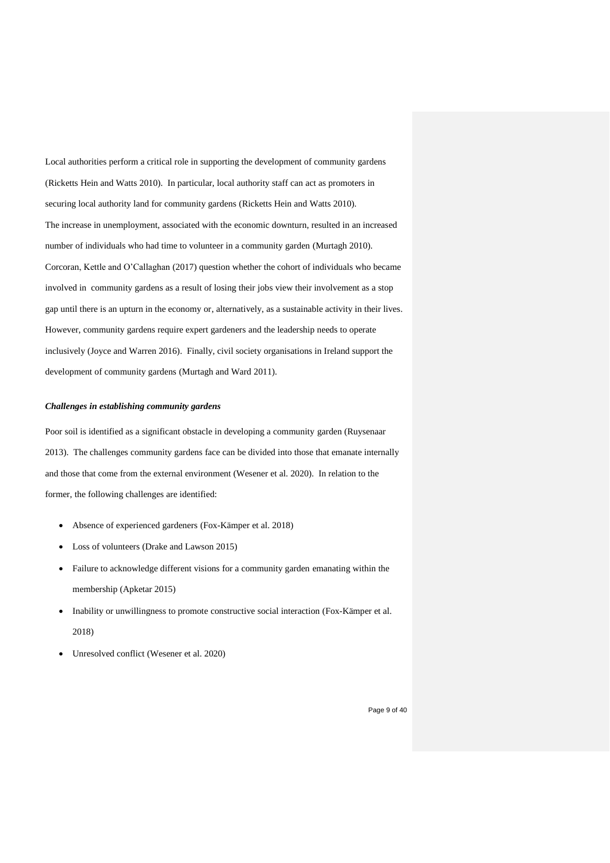Local authorities perform a critical role in supporting the development of community gardens (Ricketts Hein and Watts 2010). In particular, local authority staff can act as promoters in securing local authority land for community gardens (Ricketts Hein and Watts 2010). The increase in unemployment, associated with the economic downturn, resulted in an increased number of individuals who had time to volunteer in a community garden (Murtagh 2010). Corcoran, Kettle and O'Callaghan (2017) question whether the cohort of individuals who became involved in community gardens as a result of losing their jobs view their involvement as a stop gap until there is an upturn in the economy or, alternatively, as a sustainable activity in their lives. However, community gardens require expert gardeners and the leadership needs to operate inclusively (Joyce and Warren 2016). Finally, civil society organisations in Ireland support the development of community gardens (Murtagh and Ward 2011).

#### *Challenges in establishing community gardens*

Poor soil is identified as a significant obstacle in developing a community garden (Ruysenaar 2013). The challenges community gardens face can be divided into those that emanate internally and those that come from the external environment (Wesener et al. 2020). In relation to the former, the following challenges are identified:

- Absence of experienced gardeners (Fox-Kämper et al. 2018)
- Loss of volunteers (Drake and Lawson 2015)
- Failure to acknowledge different visions for a community garden emanating within the membership (Apketar 2015)
- Inability or unwillingness to promote constructive social interaction (Fox-Kämper et al. 2018)
- Unresolved conflict (Wesener et al. 2020)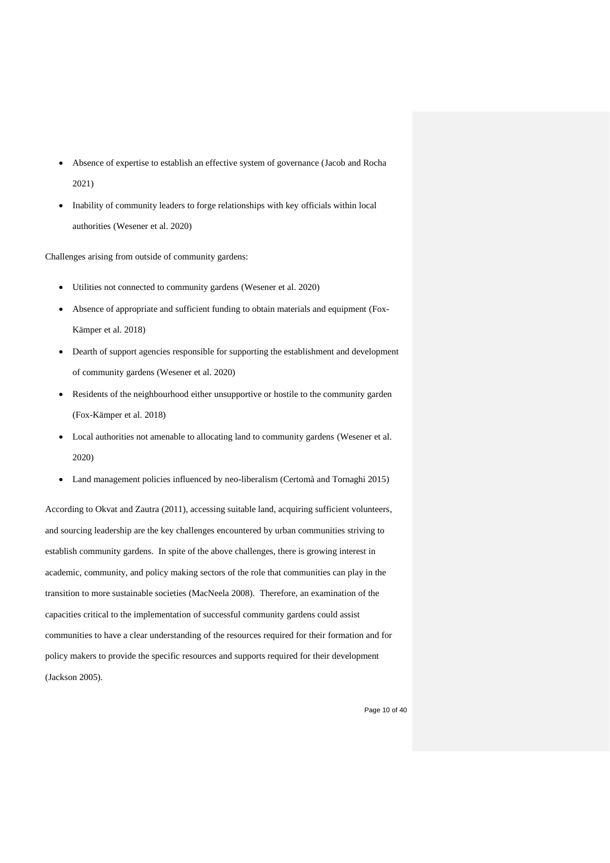- Absence of expertise to establish an effective system of governance (Jacob and Rocha 2021)
- Inability of community leaders to forge relationships with key officials within local authorities (Wesener et al. 2020)

Challenges arising from outside of community gardens:

- Utilities not connected to community gardens (Wesener et al. 2020)
- Absence of appropriate and sufficient funding to obtain materials and equipment (Fox-Kämper et al. 2018)
- Dearth of support agencies responsible for supporting the establishment and development of community gardens (Wesener et al. 2020)
- Residents of the neighbourhood either unsupportive or hostile to the community garden (Fox-Kämper et al. 2018)
- Local authorities not amenable to allocating land to community gardens (Wesener et al. 2020)
- Land management policies influenced by neo-liberalism (Certomà and Tornaghi 2015)

According to Okvat and Zautra (2011), accessing suitable land, acquiring sufficient volunteers, and sourcing leadership are the key challenges encountered by urban communities striving to establish community gardens. In spite of the above challenges, there is growing interest in academic, community, and policy making sectors of the role that communities can play in the transition to more sustainable societies (MacNeela 2008). Therefore, an examination of the capacities critical to the implementation of successful community gardens could assist communities to have a clear understanding of the resources required for their formation and for policy makers to provide the specific resources and supports required for their development (Jackson 2005).

Page 10 of 40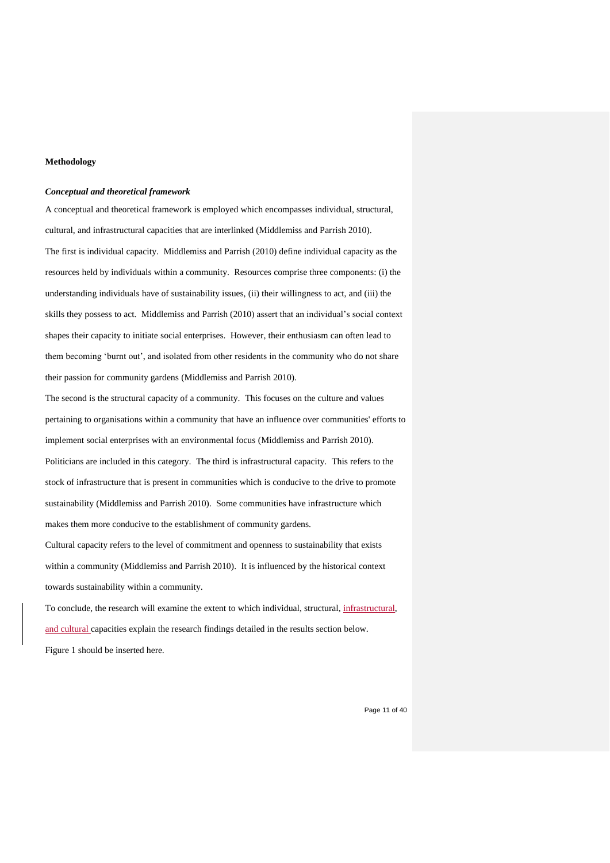#### **Methodology**

#### *Conceptual and theoretical framework*

A conceptual and theoretical framework is employed which encompasses individual, structural, cultural, and infrastructural capacities that are interlinked (Middlemiss and Parrish 2010). The first is individual capacity. Middlemiss and Parrish (2010) define individual capacity as the resources held by individuals within a community. Resources comprise three components: (i) the understanding individuals have of sustainability issues, (ii) their willingness to act, and (iii) the skills they possess to act. Middlemiss and Parrish (2010) assert that an individual's social context shapes their capacity to initiate social enterprises. However, their enthusiasm can often lead to them becoming 'burnt out', and isolated from other residents in the community who do not share their passion for community gardens (Middlemiss and Parrish 2010).

The second is the structural capacity of a community. This focuses on the culture and values pertaining to organisations within a community that have an influence over communities' efforts to implement social enterprises with an environmental focus (Middlemiss and Parrish 2010). Politicians are included in this category. The third is infrastructural capacity. This refers to the stock of infrastructure that is present in communities which is conducive to the drive to promote sustainability (Middlemiss and Parrish 2010). Some communities have infrastructure which makes them more conducive to the establishment of community gardens.

Cultural capacity refers to the level of commitment and openness to sustainability that exists within a community (Middlemiss and Parrish 2010). It is influenced by the historical context towards sustainability within a community.

To conclude, the research will examine the extent to which individual, structural, infrastructural, and cultural capacities explain the research findings detailed in the results section below. Figure 1 should be inserted here.

Page 11 of 40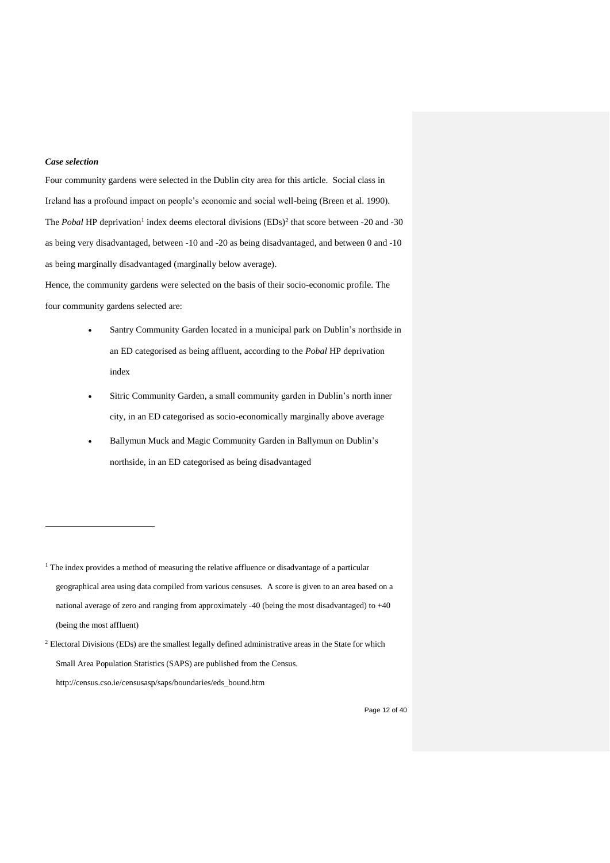# *Case selection*

1

Four community gardens were selected in the Dublin city area for this article. Social class in Ireland has a profound impact on people's economic and social well-being (Breen et al. 1990). The *Pobal* HP deprivation<sup>1</sup> index deems electoral divisions (EDs)<sup>2</sup> that score between -20 and -30 as being very disadvantaged, between -10 and -20 as being disadvantaged, and between 0 and -10 as being marginally disadvantaged (marginally below average).

Hence, the community gardens were selected on the basis of their socio-economic profile. The four community gardens selected are:

- Santry Community Garden located in a municipal park on Dublin's northside in an ED categorised as being affluent, according to the *Pobal* HP deprivation index
- Sitric Community Garden, a small community garden in Dublin's north inner city, in an ED categorised as socio-economically marginally above average
- Ballymun Muck and Magic Community Garden in Ballymun on Dublin's northside, in an ED categorised as being disadvantaged

<sup>&</sup>lt;sup>1</sup> The index provides a method of measuring the relative affluence or disadvantage of a particular geographical area using data compiled from various censuses. A score is given to an area based on a national average of zero and ranging from approximately -40 (being the most disadvantaged) to +40 (being the most affluent)

<sup>&</sup>lt;sup>2</sup> Electoral Divisions (EDs) are the smallest legally defined administrative areas in the State for which Small Area Population Statistics (SAPS) are published from the Census. http://census.cso.ie/censusasp/saps/boundaries/eds\_bound.htm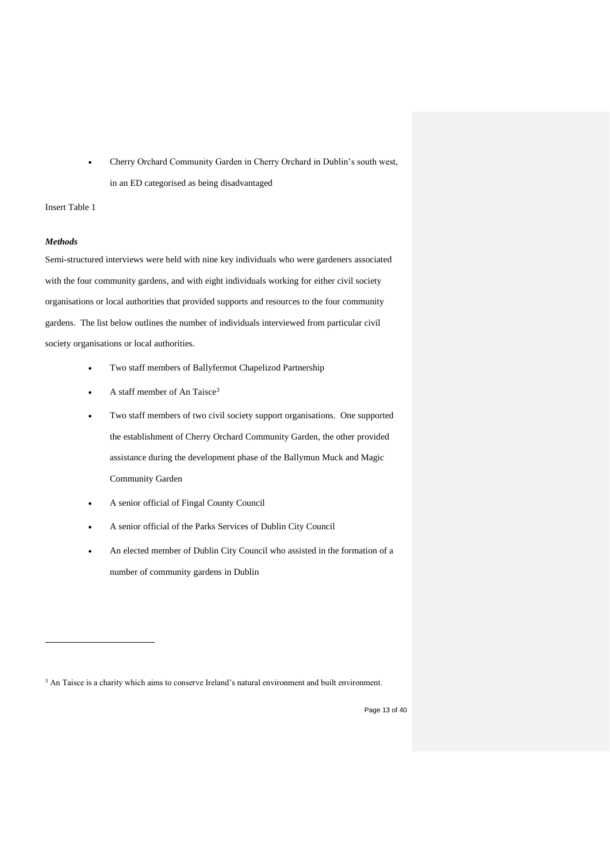• Cherry Orchard Community Garden in Cherry Orchard in Dublin's south west, in an ED categorised as being disadvantaged

#### Insert Table 1

## *Methods*

1

Semi-structured interviews were held with nine key individuals who were gardeners associated with the four community gardens, and with eight individuals working for either civil society organisations or local authorities that provided supports and resources to the four community gardens. The list below outlines the number of individuals interviewed from particular civil society organisations or local authorities.

- Two staff members of Ballyfermot Chapelizod Partnership
- A staff member of An Taisce<sup>3</sup>
- Two staff members of two civil society support organisations. One supported the establishment of Cherry Orchard Community Garden, the other provided assistance during the development phase of the Ballymun Muck and Magic Community Garden
- A senior official of Fingal County Council
- A senior official of the Parks Services of Dublin City Council
- An elected member of Dublin City Council who assisted in the formation of a number of community gardens in Dublin

<sup>&</sup>lt;sup>3</sup> An Taisce is a charity which aims to conserve Ireland's natural environment and built environment.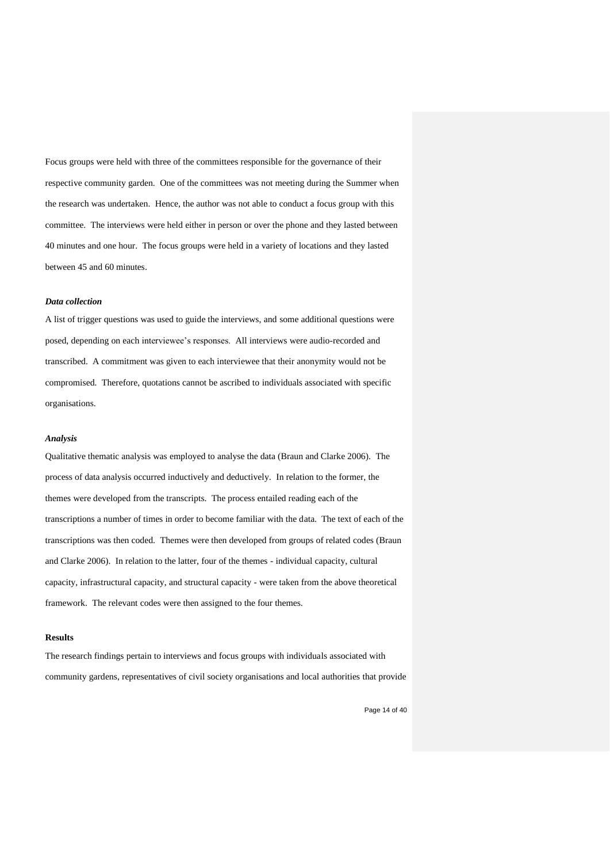Focus groups were held with three of the committees responsible for the governance of their respective community garden. One of the committees was not meeting during the Summer when the research was undertaken. Hence, the author was not able to conduct a focus group with this committee. The interviews were held either in person or over the phone and they lasted between 40 minutes and one hour. The focus groups were held in a variety of locations and they lasted between 45 and 60 minutes.

#### *Data collection*

A list of trigger questions was used to guide the interviews, and some additional questions were posed, depending on each interviewee's responses. All interviews were audio-recorded and transcribed. A commitment was given to each interviewee that their anonymity would not be compromised. Therefore, quotations cannot be ascribed to individuals associated with specific organisations.

#### *Analysis*

Qualitative thematic analysis was employed to analyse the data (Braun and Clarke 2006). The process of data analysis occurred inductively and deductively. In relation to the former, the themes were developed from the transcripts. The process entailed reading each of the transcriptions a number of times in order to become familiar with the data. The text of each of the transcriptions was then coded. Themes were then developed from groups of related codes (Braun and Clarke 2006). In relation to the latter, four of the themes - individual capacity, cultural capacity, infrastructural capacity, and structural capacity - were taken from the above theoretical framework. The relevant codes were then assigned to the four themes.

#### **Results**

The research findings pertain to interviews and focus groups with individuals associated with community gardens, representatives of civil society organisations and local authorities that provide

Page 14 of 40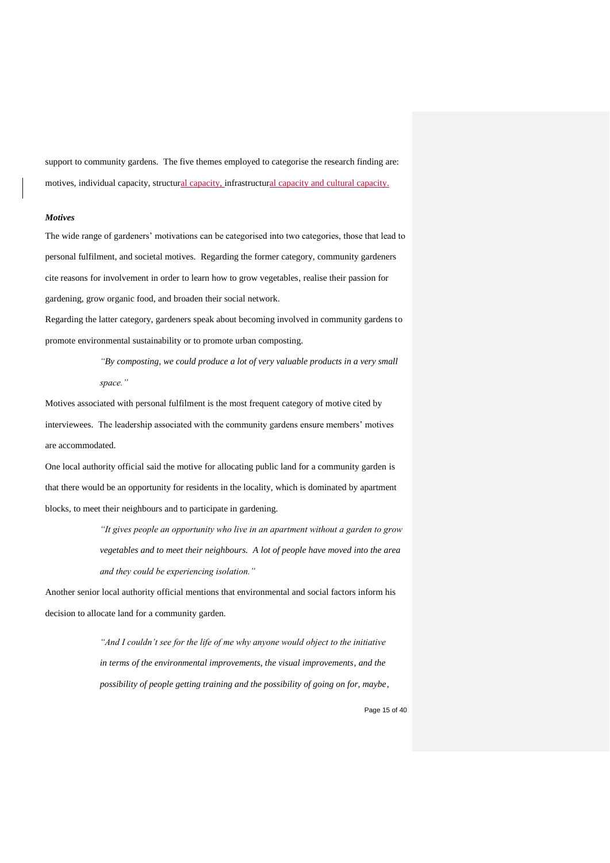support to community gardens. The five themes employed to categorise the research finding are: motives, individual capacity, structural capacity, infrastructural capacity and cultural capacity.

#### *Motives*

The wide range of gardeners' motivations can be categorised into two categories, those that lead to personal fulfilment, and societal motives. Regarding the former category, community gardeners cite reasons for involvement in order to learn how to grow vegetables, realise their passion for gardening, grow organic food, and broaden their social network.

Regarding the latter category, gardeners speak about becoming involved in community gardens to promote environmental sustainability or to promote urban composting.

> *"By composting, we could produce a lot of very valuable products in a very small space."*

Motives associated with personal fulfilment is the most frequent category of motive cited by interviewees. The leadership associated with the community gardens ensure members' motives are accommodated.

One local authority official said the motive for allocating public land for a community garden is that there would be an opportunity for residents in the locality, which is dominated by apartment blocks, to meet their neighbours and to participate in gardening.

> *"It gives people an opportunity who live in an apartment without a garden to grow vegetables and to meet their neighbours. A lot of people have moved into the area and they could be experiencing isolation."*

Another senior local authority official mentions that environmental and social factors inform his decision to allocate land for a community garden.

> *"And I couldn't see for the life of me why anyone would object to the initiative in terms of the environmental improvements, the visual improvements, and the possibility of people getting training and the possibility of going on for, maybe,*

> > Page 15 of 40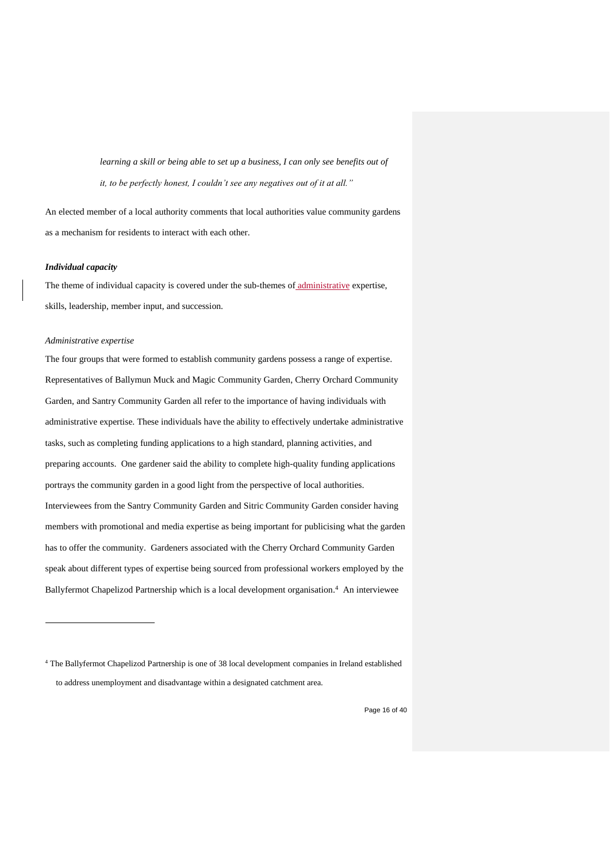*learning a skill or being able to set up a business, I can only see benefits out of it, to be perfectly honest, I couldn't see any negatives out of it at all."*

An elected member of a local authority comments that local authorities value community gardens as a mechanism for residents to interact with each other.

## *Individual capacity*

The theme of individual capacity is covered under the sub-themes of administrative expertise, skills, leadership, member input, and succession.

#### *Administrative expertise*

1

The four groups that were formed to establish community gardens possess a range of expertise. Representatives of Ballymun Muck and Magic Community Garden, Cherry Orchard Community Garden, and Santry Community Garden all refer to the importance of having individuals with administrative expertise. These individuals have the ability to effectively undertake administrative tasks, such as completing funding applications to a high standard, planning activities, and preparing accounts. One gardener said the ability to complete high-quality funding applications portrays the community garden in a good light from the perspective of local authorities. Interviewees from the Santry Community Garden and Sitric Community Garden consider having members with promotional and media expertise as being important for publicising what the garden has to offer the community. Gardeners associated with the Cherry Orchard Community Garden speak about different types of expertise being sourced from professional workers employed by the Ballyfermot Chapelizod Partnership which is a local development organisation. <sup>4</sup> An interviewee

Page 16 of 40

<sup>4</sup> The Ballyfermot Chapelizod Partnership is one of 38 local development companies in Ireland established to address unemployment and disadvantage within a designated catchment area.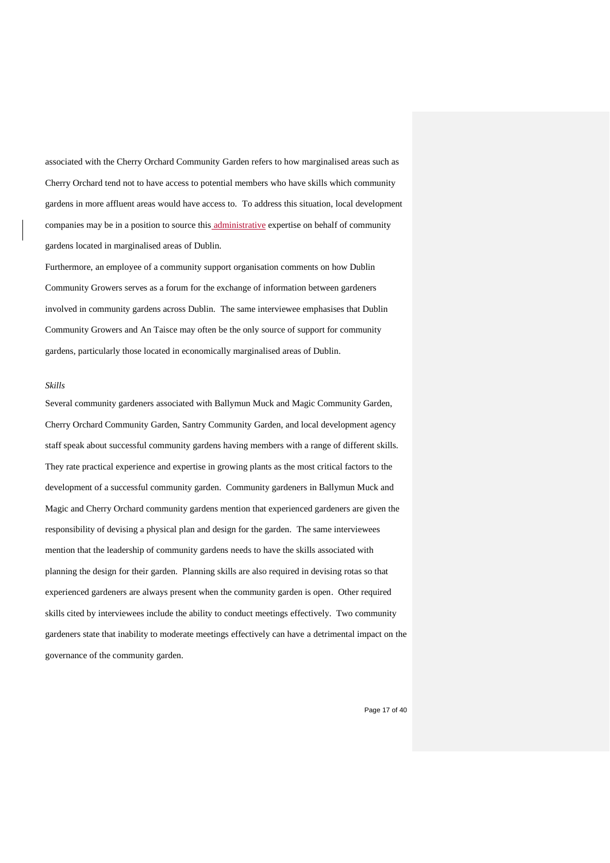associated with the Cherry Orchard Community Garden refers to how marginalised areas such as Cherry Orchard tend not to have access to potential members who have skills which community gardens in more affluent areas would have access to. To address this situation, local development companies may be in a position to source this administrative expertise on behalf of community gardens located in marginalised areas of Dublin.

Furthermore, an employee of a community support organisation comments on how Dublin Community Growers serves as a forum for the exchange of information between gardeners involved in community gardens across Dublin. The same interviewee emphasises that Dublin Community Growers and An Taisce may often be the only source of support for community gardens, particularly those located in economically marginalised areas of Dublin.

# *Skills*

Several community gardeners associated with Ballymun Muck and Magic Community Garden, Cherry Orchard Community Garden, Santry Community Garden, and local development agency staff speak about successful community gardens having members with a range of different skills. They rate practical experience and expertise in growing plants as the most critical factors to the development of a successful community garden. Community gardeners in Ballymun Muck and Magic and Cherry Orchard community gardens mention that experienced gardeners are given the responsibility of devising a physical plan and design for the garden. The same interviewees mention that the leadership of community gardens needs to have the skills associated with planning the design for their garden. Planning skills are also required in devising rotas so that experienced gardeners are always present when the community garden is open. Other required skills cited by interviewees include the ability to conduct meetings effectively. Two community gardeners state that inability to moderate meetings effectively can have a detrimental impact on the governance of the community garden.

Page 17 of 40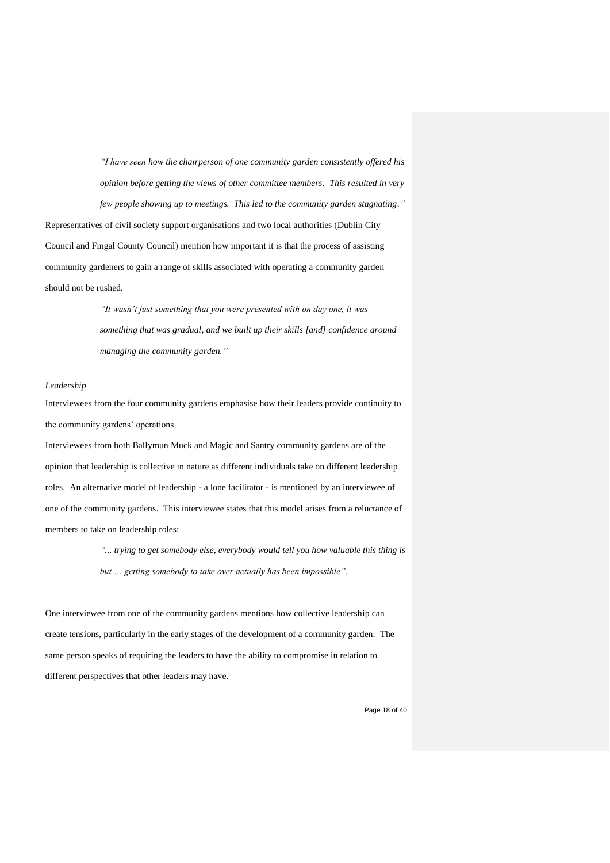*"I have seen how the chairperson of one community garden consistently offered his opinion before getting the views of other committee members. This resulted in very few people showing up to meetings. This led to the community garden stagnating."* Representatives of civil society support organisations and two local authorities (Dublin City Council and Fingal County Council) mention how important it is that the process of assisting community gardeners to gain a range of skills associated with operating a community garden should not be rushed.

> *"It wasn't just something that you were presented with on day one, it was something that was gradual, and we built up their skills [and] confidence around managing the community garden."*

## *Leadership*

Interviewees from the four community gardens emphasise how their leaders provide continuity to the community gardens' operations.

Interviewees from both Ballymun Muck and Magic and Santry community gardens are of the opinion that leadership is collective in nature as different individuals take on different leadership roles. An alternative model of leadership - a lone facilitator - is mentioned by an interviewee of one of the community gardens. This interviewee states that this model arises from a reluctance of members to take on leadership roles:

> *"... trying to get somebody else, everybody would tell you how valuable this thing is but … getting somebody to take over actually has been impossible".*

One interviewee from one of the community gardens mentions how collective leadership can create tensions, particularly in the early stages of the development of a community garden. The same person speaks of requiring the leaders to have the ability to compromise in relation to different perspectives that other leaders may have.

Page 18 of 40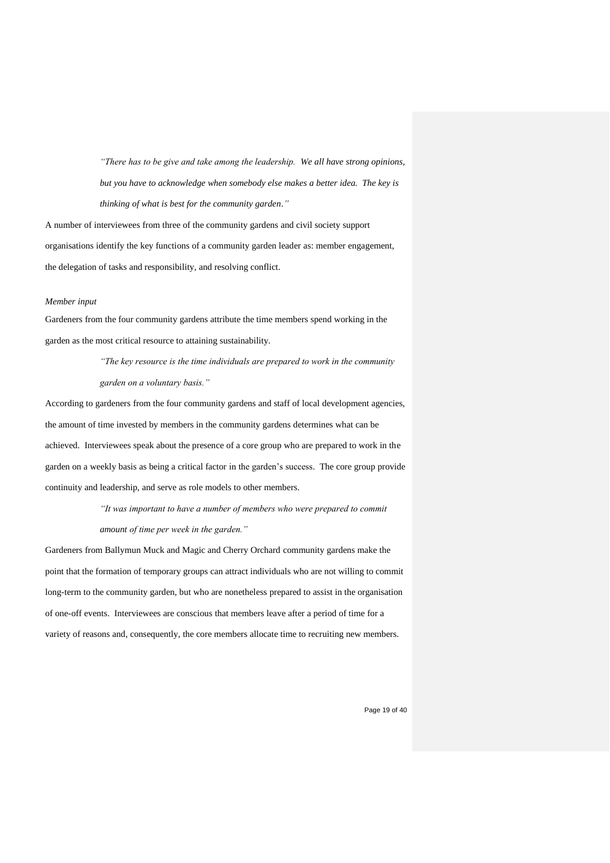*"There has to be give and take among the leadership. We all have strong opinions, but you have to acknowledge when somebody else makes a better idea. The key is thinking of what is best for the community garden."*

A number of interviewees from three of the community gardens and civil society support organisations identify the key functions of a community garden leader as: member engagement, the delegation of tasks and responsibility, and resolving conflict.

#### *Member input*

Gardeners from the four community gardens attribute the time members spend working in the garden as the most critical resource to attaining sustainability.

> *"The key resource is the time individuals are prepared to work in the community garden on a voluntary basis."*

According to gardeners from the four community gardens and staff of local development agencies, the amount of time invested by members in the community gardens determines what can be achieved. Interviewees speak about the presence of a core group who are prepared to work in the garden on a weekly basis as being a critical factor in the garden's success. The core group provide continuity and leadership, and serve as role models to other members.

> *"It was important to have a number of members who were prepared to commit amount of time per week in the garden."*

Gardeners from Ballymun Muck and Magic and Cherry Orchard community gardens make the point that the formation of temporary groups can attract individuals who are not willing to commit long-term to the community garden, but who are nonetheless prepared to assist in the organisation of one-off events. Interviewees are conscious that members leave after a period of time for a variety of reasons and, consequently, the core members allocate time to recruiting new members.

Page 19 of 40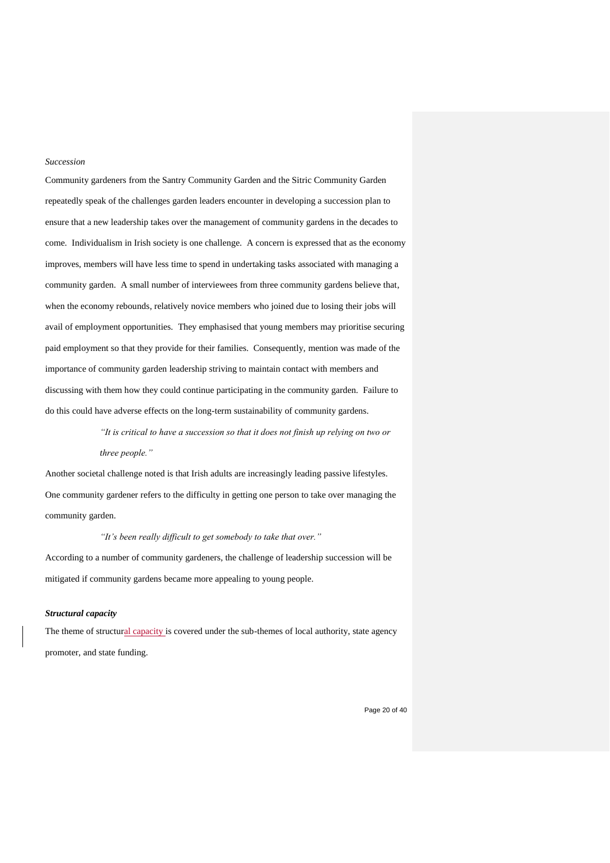#### *Succession*

Community gardeners from the Santry Community Garden and the Sitric Community Garden repeatedly speak of the challenges garden leaders encounter in developing a succession plan to ensure that a new leadership takes over the management of community gardens in the decades to come. Individualism in Irish society is one challenge. A concern is expressed that as the economy improves, members will have less time to spend in undertaking tasks associated with managing a community garden. A small number of interviewees from three community gardens believe that, when the economy rebounds, relatively novice members who joined due to losing their jobs will avail of employment opportunities. They emphasised that young members may prioritise securing paid employment so that they provide for their families. Consequently, mention was made of the importance of community garden leadership striving to maintain contact with members and discussing with them how they could continue participating in the community garden. Failure to do this could have adverse effects on the long-term sustainability of community gardens.

> *"It is critical to have a succession so that it does not finish up relying on two or three people."*

Another societal challenge noted is that Irish adults are increasingly leading passive lifestyles. One community gardener refers to the difficulty in getting one person to take over managing the community garden.

#### *"It's been really difficult to get somebody to take that over."*

According to a number of community gardeners, the challenge of leadership succession will be mitigated if community gardens became more appealing to young people.

#### *Structural capacity*

The theme of structural capacity is covered under the sub-themes of local authority, state agency promoter, and state funding.

Page 20 of 40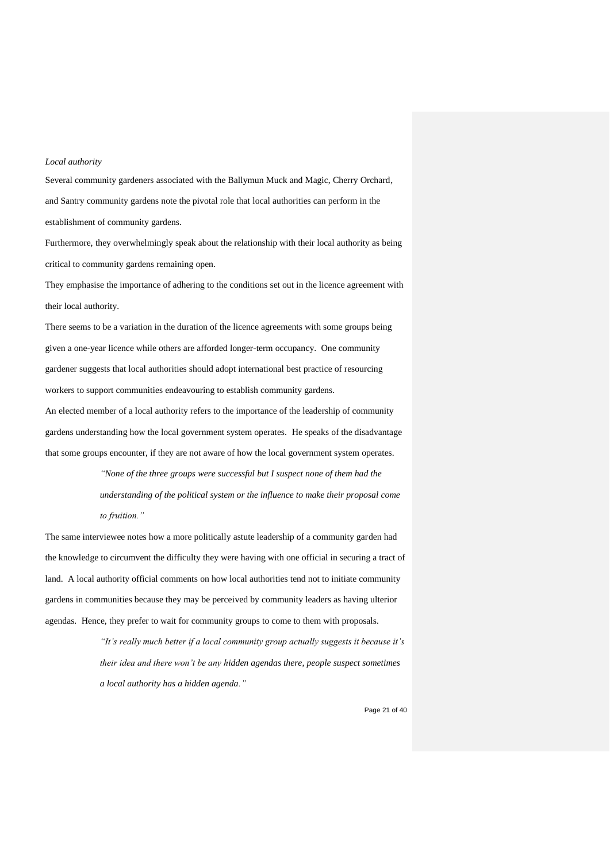#### *Local authority*

Several community gardeners associated with the Ballymun Muck and Magic, Cherry Orchard, and Santry community gardens note the pivotal role that local authorities can perform in the establishment of community gardens.

Furthermore, they overwhelmingly speak about the relationship with their local authority as being critical to community gardens remaining open.

They emphasise the importance of adhering to the conditions set out in the licence agreement with their local authority.

There seems to be a variation in the duration of the licence agreements with some groups being given a one-year licence while others are afforded longer-term occupancy. One community gardener suggests that local authorities should adopt international best practice of resourcing workers to support communities endeavouring to establish community gardens.

An elected member of a local authority refers to the importance of the leadership of community gardens understanding how the local government system operates. He speaks of the disadvantage that some groups encounter, if they are not aware of how the local government system operates.

> *"None of the three groups were successful but I suspect none of them had the understanding of the political system or the influence to make their proposal come to fruition."*

The same interviewee notes how a more politically astute leadership of a community garden had the knowledge to circumvent the difficulty they were having with one official in securing a tract of land. A local authority official comments on how local authorities tend not to initiate community gardens in communities because they may be perceived by community leaders as having ulterior agendas. Hence, they prefer to wait for community groups to come to them with proposals.

> *"It's really much better if a local community group actually suggests it because it's their idea and there won't be any hidden agendas there, people suspect sometimes a local authority has a hidden agenda."*

> > Page 21 of 40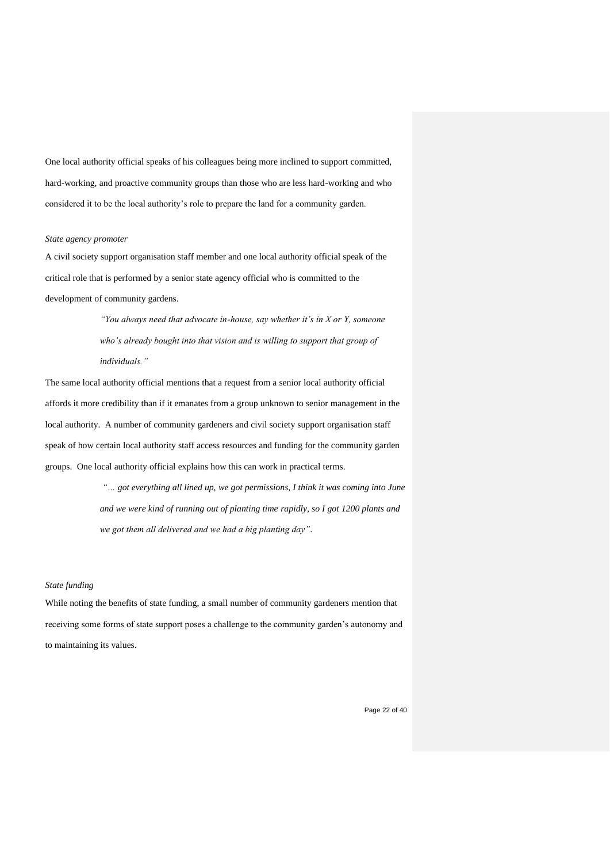One local authority official speaks of his colleagues being more inclined to support committed, hard-working, and proactive community groups than those who are less hard-working and who considered it to be the local authority's role to prepare the land for a community garden.

# *State agency promoter*

A civil society support organisation staff member and one local authority official speak of the critical role that is performed by a senior state agency official who is committed to the development of community gardens.

> *"You always need that advocate in-house, say whether it's in X or Y, someone who's already bought into that vision and is willing to support that group of individuals."*

The same local authority official mentions that a request from a senior local authority official affords it more credibility than if it emanates from a group unknown to senior management in the local authority. A number of community gardeners and civil society support organisation staff speak of how certain local authority staff access resources and funding for the community garden groups. One local authority official explains how this can work in practical terms.

> *"… got everything all lined up, we got permissions, I think it was coming into June and we were kind of running out of planting time rapidly, so I got 1200 plants and we got them all delivered and we had a big planting day".*

## *State funding*

While noting the benefits of state funding, a small number of community gardeners mention that receiving some forms of state support poses a challenge to the community garden's autonomy and to maintaining its values.

Page 22 of 40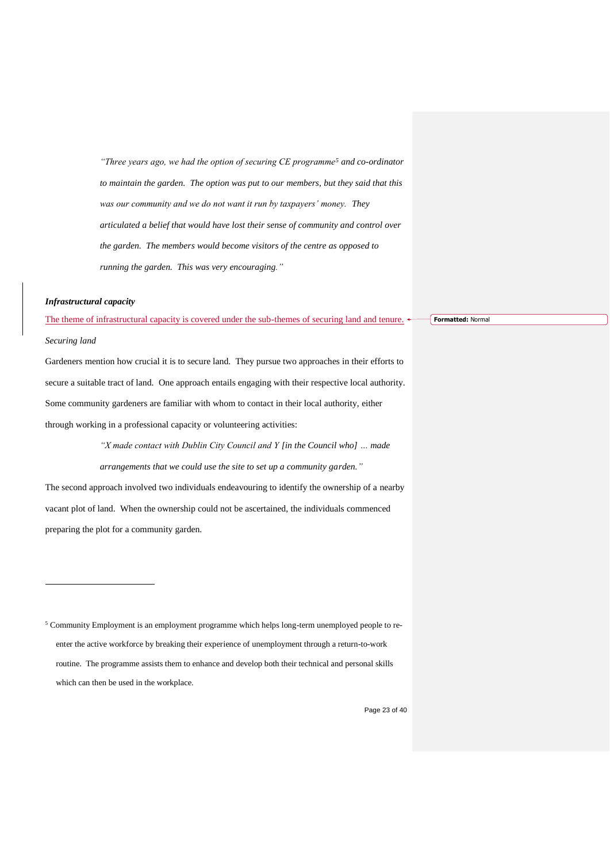*"Three years ago, we had the option of securing CE programme<sup>5</sup> and co-ordinator to maintain the garden. The option was put to our members, but they said that this was our community and we do not want it run by taxpayers' money. They articulated a belief that would have lost their sense of community and control over the garden. The members would become visitors of the centre as opposed to running the garden. This was very encouraging."*

#### *Infrastructural capacity*

The theme of infrastructural capacity is covered under the sub-themes of securing land and tenure.

**Formatted:** Normal

#### *Securing land*

1

Gardeners mention how crucial it is to secure land. They pursue two approaches in their efforts to secure a suitable tract of land. One approach entails engaging with their respective local authority. Some community gardeners are familiar with whom to contact in their local authority, either through working in a professional capacity or volunteering activities:

*"X made contact with Dublin City Council and Y [in the Council who] … made arrangements that we could use the site to set up a community garden."* The second approach involved two individuals endeavouring to identify the ownership of a nearby vacant plot of land. When the ownership could not be ascertained, the individuals commenced

preparing the plot for a community garden.

<sup>5</sup> Community Employment is an employment programme which helps long-term unemployed people to reenter the active workforce by breaking their experience of unemployment through a return-to-work routine. The programme assists them to enhance and develop both their technical and personal skills which can then be used in the workplace.

Page 23 of 40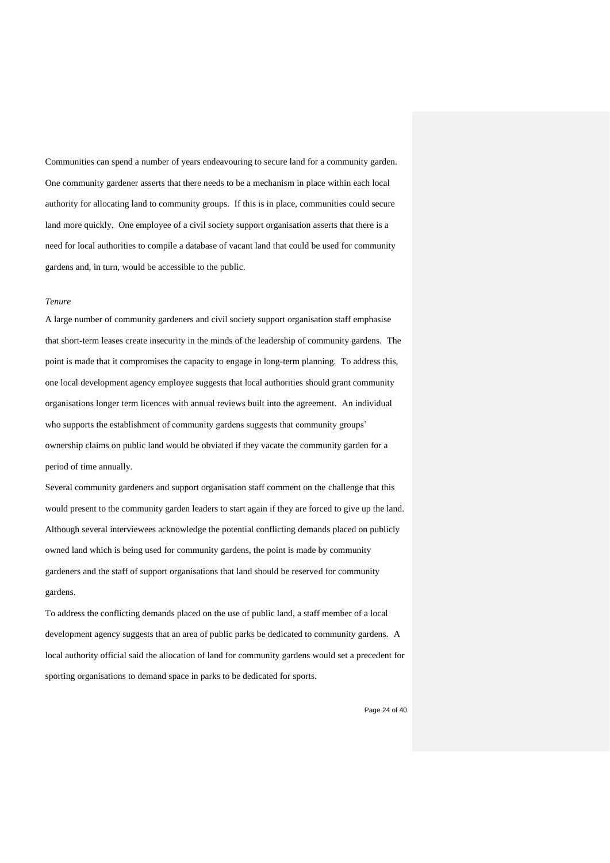Communities can spend a number of years endeavouring to secure land for a community garden. One community gardener asserts that there needs to be a mechanism in place within each local authority for allocating land to community groups. If this is in place, communities could secure land more quickly. One employee of a civil society support organisation asserts that there is a need for local authorities to compile a database of vacant land that could be used for community gardens and, in turn, would be accessible to the public.

#### *Tenure*

A large number of community gardeners and civil society support organisation staff emphasise that short-term leases create insecurity in the minds of the leadership of community gardens. The point is made that it compromises the capacity to engage in long-term planning. To address this, one local development agency employee suggests that local authorities should grant community organisations longer term licences with annual reviews built into the agreement. An individual who supports the establishment of community gardens suggests that community groups' ownership claims on public land would be obviated if they vacate the community garden for a period of time annually.

Several community gardeners and support organisation staff comment on the challenge that this would present to the community garden leaders to start again if they are forced to give up the land. Although several interviewees acknowledge the potential conflicting demands placed on publicly owned land which is being used for community gardens, the point is made by community gardeners and the staff of support organisations that land should be reserved for community gardens.

To address the conflicting demands placed on the use of public land, a staff member of a local development agency suggests that an area of public parks be dedicated to community gardens. A local authority official said the allocation of land for community gardens would set a precedent for sporting organisations to demand space in parks to be dedicated for sports.

Page 24 of 40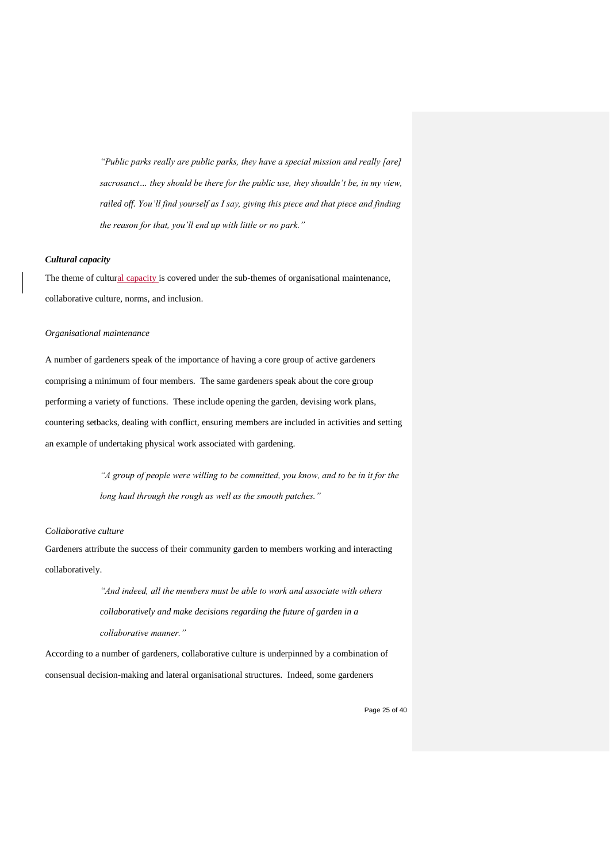*"Public parks really are public parks, they have a special mission and really [are] sacrosanct… they should be there for the public use, they shouldn't be, in my view, railed off. You'll find yourself as I say, giving this piece and that piece and finding the reason for that, you'll end up with little or no park."*

#### *Cultural capacity*

The theme of cultural capacity is covered under the sub-themes of organisational maintenance, collaborative culture, norms, and inclusion.

#### *Organisational maintenance*

A number of gardeners speak of the importance of having a core group of active gardeners comprising a minimum of four members. The same gardeners speak about the core group performing a variety of functions. These include opening the garden, devising work plans, countering setbacks, dealing with conflict, ensuring members are included in activities and setting an example of undertaking physical work associated with gardening.

> *"A group of people were willing to be committed, you know, and to be in it for the long haul through the rough as well as the smooth patches."*

#### *Collaborative culture*

Gardeners attribute the success of their community garden to members working and interacting collaboratively.

> *"And indeed, all the members must be able to work and associate with others collaboratively and make decisions regarding the future of garden in a collaborative manner."*

According to a number of gardeners, collaborative culture is underpinned by a combination of consensual decision-making and lateral organisational structures. Indeed, some gardeners

Page 25 of 40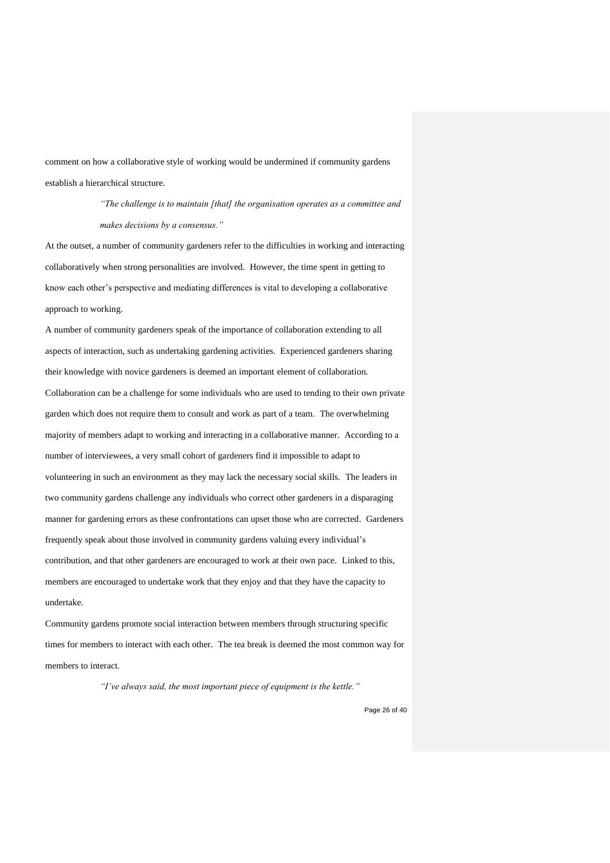comment on how a collaborative style of working would be undermined if community gardens establish a hierarchical structure.

> *"The challenge is to maintain [that] the organisation operates as a committee and makes decisions by a consensus."*

At the outset, a number of community gardeners refer to the difficulties in working and interacting collaboratively when strong personalities are involved. However, the time spent in getting to know each other's perspective and mediating differences is vital to developing a collaborative approach to working.

A number of community gardeners speak of the importance of collaboration extending to all aspects of interaction, such as undertaking gardening activities. Experienced gardeners sharing their knowledge with novice gardeners is deemed an important element of collaboration. Collaboration can be a challenge for some individuals who are used to tending to their own private garden which does not require them to consult and work as part of a team. The overwhelming majority of members adapt to working and interacting in a collaborative manner. According to a number of interviewees, a very small cohort of gardeners find it impossible to adapt to volunteering in such an environment as they may lack the necessary social skills. The leaders in two community gardens challenge any individuals who correct other gardeners in a disparaging manner for gardening errors as these confrontations can upset those who are corrected. Gardeners frequently speak about those involved in community gardens valuing every individual's contribution, and that other gardeners are encouraged to work at their own pace. Linked to this, members are encouraged to undertake work that they enjoy and that they have the capacity to undertake.

Community gardens promote social interaction between members through structuring specific times for members to interact with each other. The tea break is deemed the most common way for members to interact.

*"I've always said, the most important piece of equipment is the kettle."*

Page 26 of 40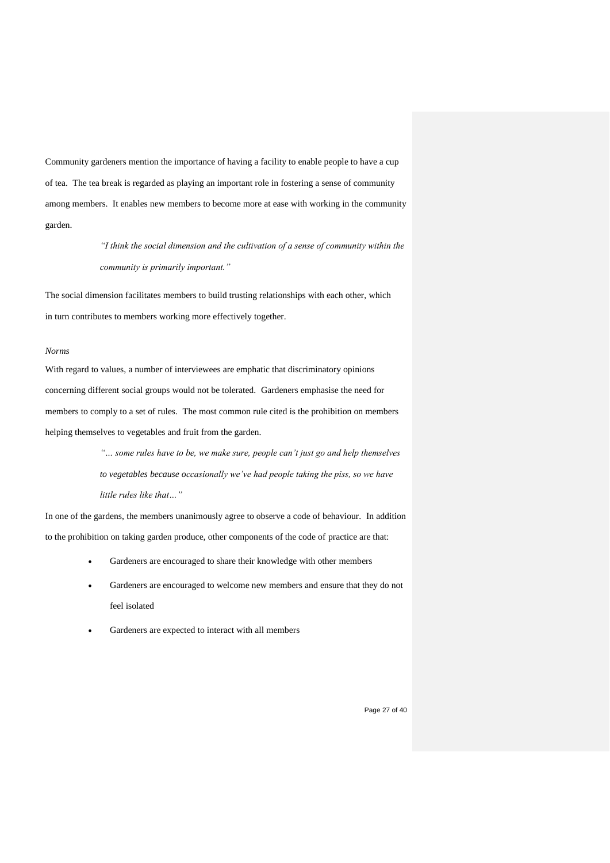Community gardeners mention the importance of having a facility to enable people to have a cup of tea. The tea break is regarded as playing an important role in fostering a sense of community among members. It enables new members to become more at ease with working in the community garden.

> *"I think the social dimension and the cultivation of a sense of community within the community is primarily important."*

The social dimension facilitates members to build trusting relationships with each other, which in turn contributes to members working more effectively together.

#### *Norms*

With regard to values, a number of interviewees are emphatic that discriminatory opinions concerning different social groups would not be tolerated. Gardeners emphasise the need for members to comply to a set of rules. The most common rule cited is the prohibition on members helping themselves to vegetables and fruit from the garden.

> *"… some rules have to be, we make sure, people can't just go and help themselves to vegetables because occasionally we've had people taking the piss, so we have little rules like that…"*

In one of the gardens, the members unanimously agree to observe a code of behaviour. In addition to the prohibition on taking garden produce, other components of the code of practice are that:

- Gardeners are encouraged to share their knowledge with other members
- Gardeners are encouraged to welcome new members and ensure that they do not feel isolated
- Gardeners are expected to interact with all members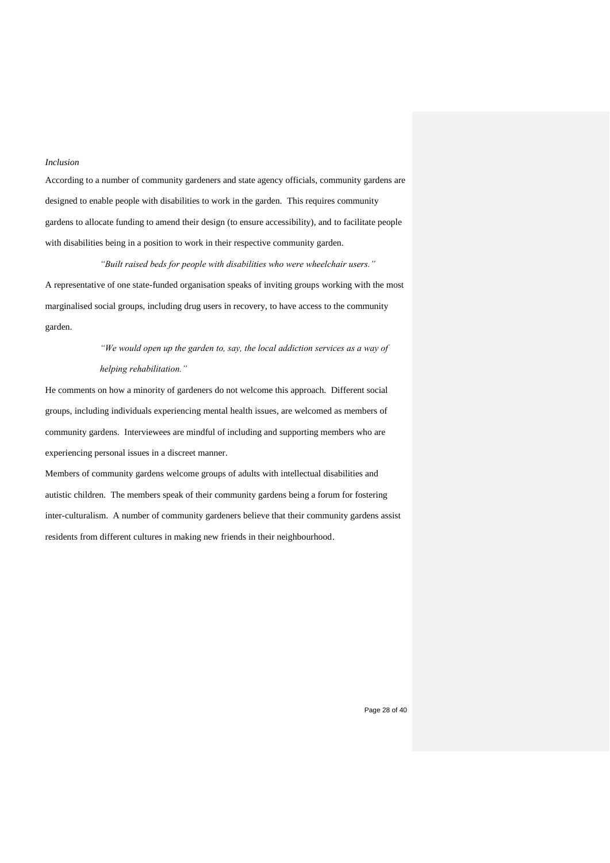## *Inclusion*

According to a number of community gardeners and state agency officials, community gardens are designed to enable people with disabilities to work in the garden. This requires community gardens to allocate funding to amend their design (to ensure accessibility), and to facilitate people with disabilities being in a position to work in their respective community garden.

#### *"Built raised beds for people with disabilities who were wheelchair users."*

A representative of one state-funded organisation speaks of inviting groups working with the most marginalised social groups, including drug users in recovery, to have access to the community garden.

# *"We would open up the garden to, say, the local addiction services as a way of helping rehabilitation."*

He comments on how a minority of gardeners do not welcome this approach. Different social groups, including individuals experiencing mental health issues, are welcomed as members of community gardens. Interviewees are mindful of including and supporting members who are experiencing personal issues in a discreet manner.

Members of community gardens welcome groups of adults with intellectual disabilities and autistic children. The members speak of their community gardens being a forum for fostering inter-culturalism. A number of community gardeners believe that their community gardens assist residents from different cultures in making new friends in their neighbourhood.

Page 28 of 40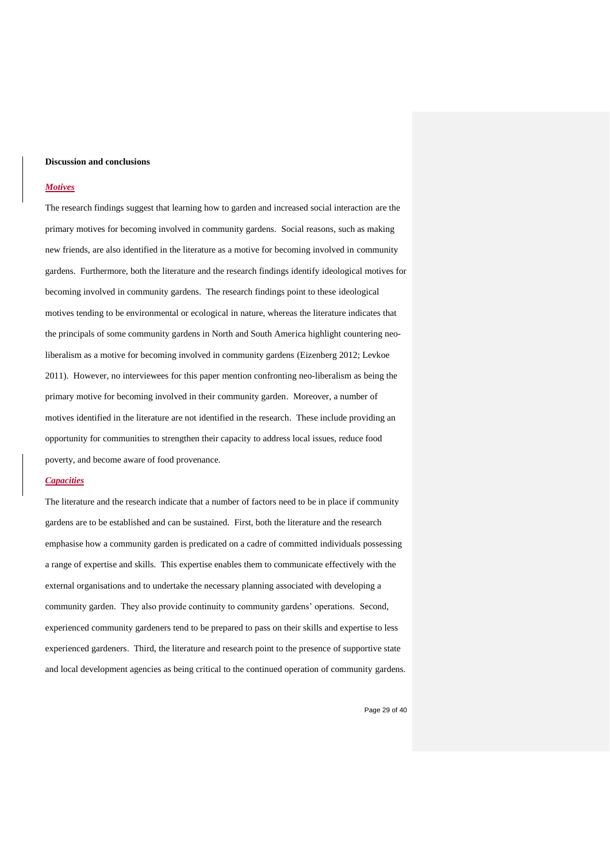#### **Discussion and conclusions**

#### *Motives*

The research findings suggest that learning how to garden and increased social interaction are the primary motives for becoming involved in community gardens. Social reasons, such as making new friends, are also identified in the literature as a motive for becoming involved in community gardens. Furthermore, both the literature and the research findings identify ideological motives for becoming involved in community gardens. The research findings point to these ideological motives tending to be environmental or ecological in nature, whereas the literature indicates that the principals of some community gardens in North and South America highlight countering neoliberalism as a motive for becoming involved in community gardens (Eizenberg 2012; Levkoe 2011). However, no interviewees for this paper mention confronting neo-liberalism as being the primary motive for becoming involved in their community garden. Moreover, a number of motives identified in the literature are not identified in the research. These include providing an opportunity for communities to strengthen their capacity to address local issues, reduce food poverty, and become aware of food provenance.

#### *Capacities*

The literature and the research indicate that a number of factors need to be in place if community gardens are to be established and can be sustained. First, both the literature and the research emphasise how a community garden is predicated on a cadre of committed individuals possessing a range of expertise and skills. This expertise enables them to communicate effectively with the external organisations and to undertake the necessary planning associated with developing a community garden. They also provide continuity to community gardens' operations. Second, experienced community gardeners tend to be prepared to pass on their skills and expertise to less experienced gardeners. Third, the literature and research point to the presence of supportive state and local development agencies as being critical to the continued operation of community gardens.

Page 29 of 40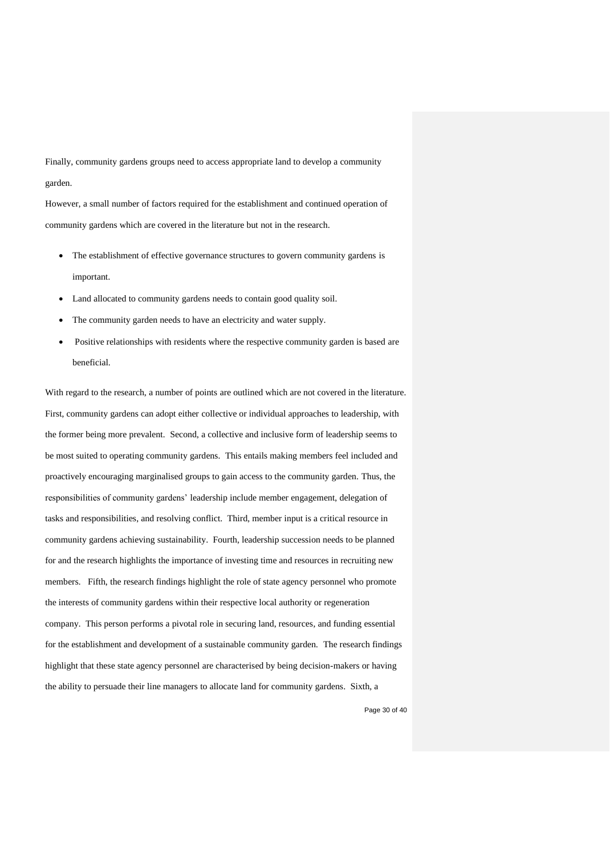Finally, community gardens groups need to access appropriate land to develop a community garden.

However, a small number of factors required for the establishment and continued operation of community gardens which are covered in the literature but not in the research.

- The establishment of effective governance structures to govern community gardens is important.
- Land allocated to community gardens needs to contain good quality soil.
- The community garden needs to have an electricity and water supply.
- Positive relationships with residents where the respective community garden is based are beneficial.

With regard to the research, a number of points are outlined which are not covered in the literature. First, community gardens can adopt either collective or individual approaches to leadership, with the former being more prevalent. Second, a collective and inclusive form of leadership seems to be most suited to operating community gardens. This entails making members feel included and proactively encouraging marginalised groups to gain access to the community garden. Thus, the responsibilities of community gardens' leadership include member engagement, delegation of tasks and responsibilities, and resolving conflict. Third, member input is a critical resource in community gardens achieving sustainability. Fourth, leadership succession needs to be planned for and the research highlights the importance of investing time and resources in recruiting new members. Fifth, the research findings highlight the role of state agency personnel who promote the interests of community gardens within their respective local authority or regeneration company. This person performs a pivotal role in securing land, resources, and funding essential for the establishment and development of a sustainable community garden. The research findings highlight that these state agency personnel are characterised by being decision-makers or having the ability to persuade their line managers to allocate land for community gardens. Sixth, a

Page 30 of 40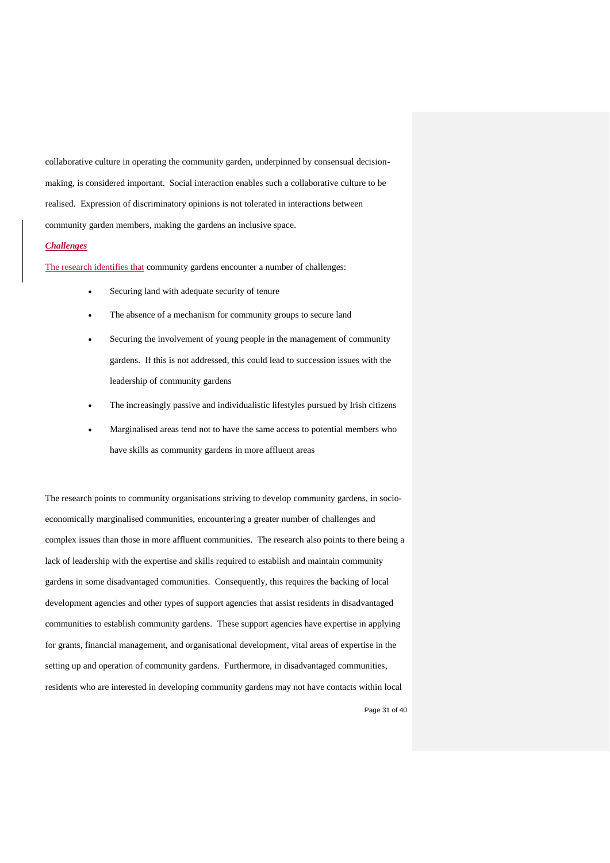collaborative culture in operating the community garden, underpinned by consensual decisionmaking, is considered important. Social interaction enables such a collaborative culture to be realised. Expression of discriminatory opinions is not tolerated in interactions between community garden members, making the gardens an inclusive space.

#### *Challenges*

The research identifies that community gardens encounter a number of challenges:

- Securing land with adequate security of tenure
- The absence of a mechanism for community groups to secure land
- Securing the involvement of young people in the management of community gardens. If this is not addressed, this could lead to succession issues with the leadership of community gardens
- The increasingly passive and individualistic lifestyles pursued by Irish citizens
- Marginalised areas tend not to have the same access to potential members who have skills as community gardens in more affluent areas

The research points to community organisations striving to develop community gardens, in socioeconomically marginalised communities, encountering a greater number of challenges and complex issues than those in more affluent communities. The research also points to there being a lack of leadership with the expertise and skills required to establish and maintain community gardens in some disadvantaged communities. Consequently, this requires the backing of local development agencies and other types of support agencies that assist residents in disadvantaged communities to establish community gardens. These support agencies have expertise in applying for grants, financial management, and organisational development, vital areas of expertise in the setting up and operation of community gardens. Furthermore, in disadvantaged communities, residents who are interested in developing community gardens may not have contacts within local

Page 31 of 40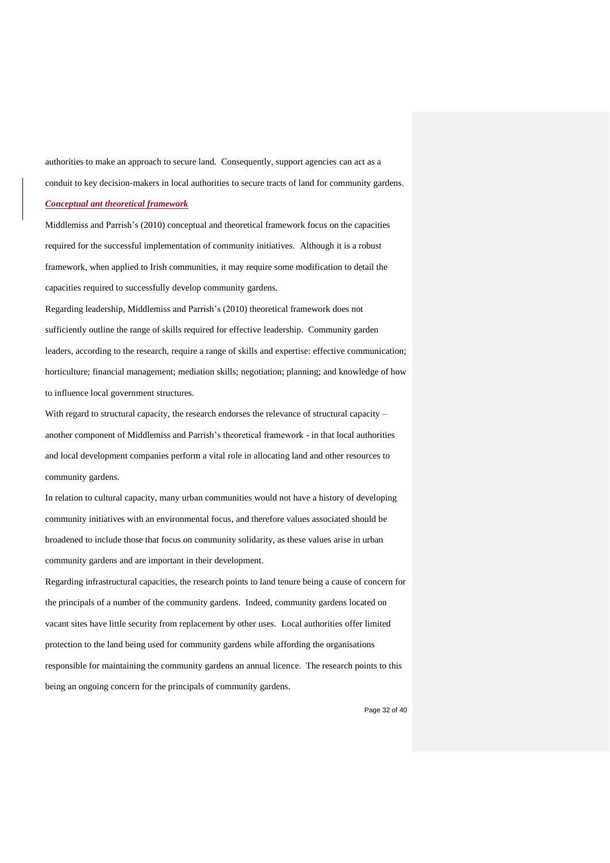authorities to make an approach to secure land. Consequently, support agencies can act as a conduit to key decision-makers in local authorities to secure tracts of land for community gardens. *Conceptual ant theoretical framework* 

Middlemiss and Parrish's (2010) conceptual and theoretical framework focus on the capacities required for the successful implementation of community initiatives. Although it is a robust framework, when applied to Irish communities, it may require some modification to detail the capacities required to successfully develop community gardens.

Regarding leadership, Middlemiss and Parrish's (2010) theoretical framework does not sufficiently outline the range of skills required for effective leadership. Community garden leaders, according to the research, require a range of skills and expertise: effective communication; horticulture; financial management; mediation skills; negotiation; planning; and knowledge of how to influence local government structures.

With regard to structural capacity, the research endorses the relevance of structural capacity – another component of Middlemiss and Parrish's theoretical framework - in that local authorities and local development companies perform a vital role in allocating land and other resources to community gardens.

In relation to cultural capacity, many urban communities would not have a history of developing community initiatives with an environmental focus, and therefore values associated should be broadened to include those that focus on community solidarity, as these values arise in urban community gardens and are important in their development.

Regarding infrastructural capacities, the research points to land tenure being a cause of concern for the principals of a number of the community gardens. Indeed, community gardens located on vacant sites have little security from replacement by other uses. Local authorities offer limited protection to the land being used for community gardens while affording the organisations responsible for maintaining the community gardens an annual licence. The research points to this being an ongoing concern for the principals of community gardens.

Page 32 of 40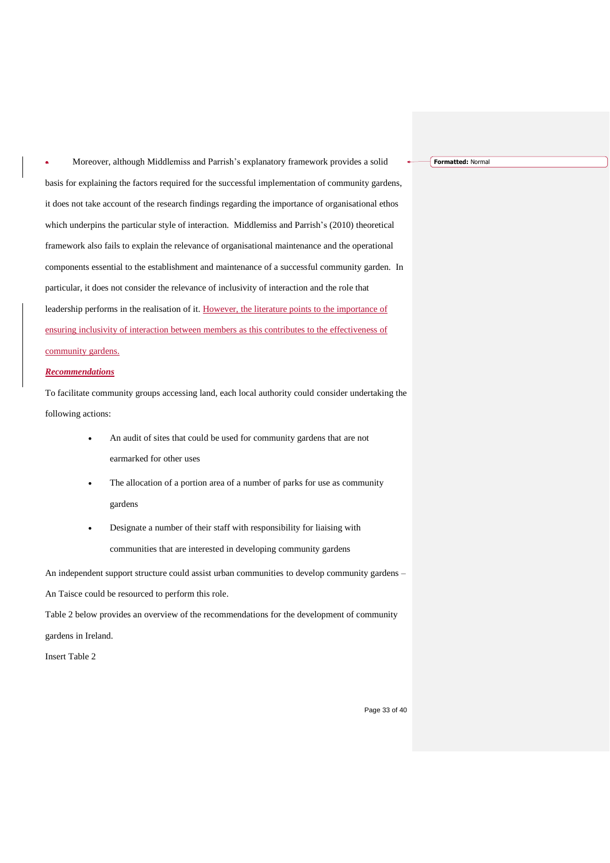• Moreover, although Middlemiss and Parrish's explanatory framework provides a solid basis for explaining the factors required for the successful implementation of community gardens, it does not take account of the research findings regarding the importance of organisational ethos which underpins the particular style of interaction. Middlemiss and Parrish's (2010) theoretical framework also fails to explain the relevance of organisational maintenance and the operational components essential to the establishment and maintenance of a successful community garden. In particular, it does not consider the relevance of inclusivity of interaction and the role that leadership performs in the realisation of it. However, the literature points to the importance of ensuring inclusivity of interaction between members as this contributes to the effectiveness of community gardens.

#### *Recommendations*

To facilitate community groups accessing land, each local authority could consider undertaking the following actions:

- An audit of sites that could be used for community gardens that are not earmarked for other uses
- The allocation of a portion area of a number of parks for use as community gardens
- Designate a number of their staff with responsibility for liaising with communities that are interested in developing community gardens

An independent support structure could assist urban communities to develop community gardens -

An Taisce could be resourced to perform this role.

Table 2 below provides an overview of the recommendations for the development of community gardens in Ireland.

Insert Table 2

**Formatted:** Normal

Page 33 of 40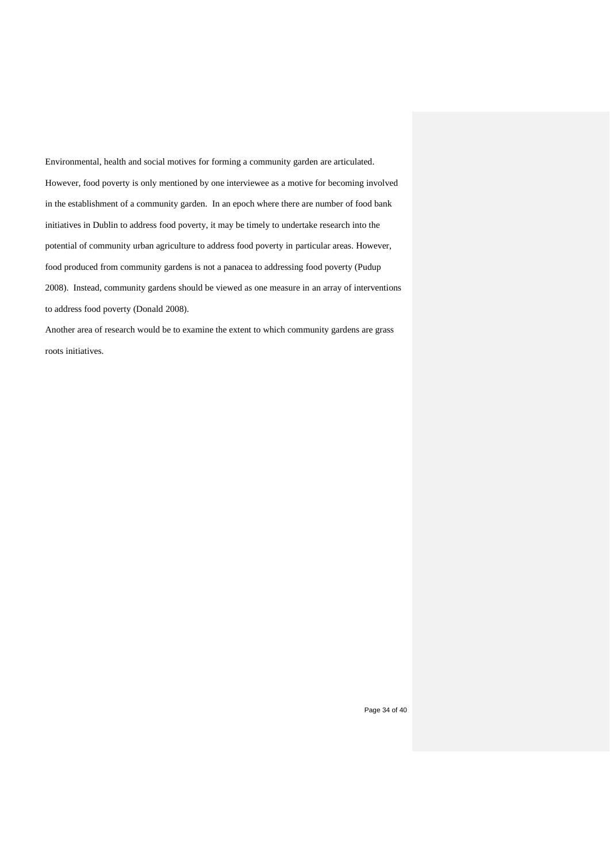Environmental, health and social motives for forming a community garden are articulated. However, food poverty is only mentioned by one interviewee as a motive for becoming involved in the establishment of a community garden. In an epoch where there are number of food bank initiatives in Dublin to address food poverty, it may be timely to undertake research into the potential of community urban agriculture to address food poverty in particular areas. However, food produced from community gardens is not a panacea to addressing food poverty (Pudup 2008). Instead, community gardens should be viewed as one measure in an array of interventions to address food poverty (Donald 2008).

Another area of research would be to examine the extent to which community gardens are grass roots initiatives.

Page 34 of 40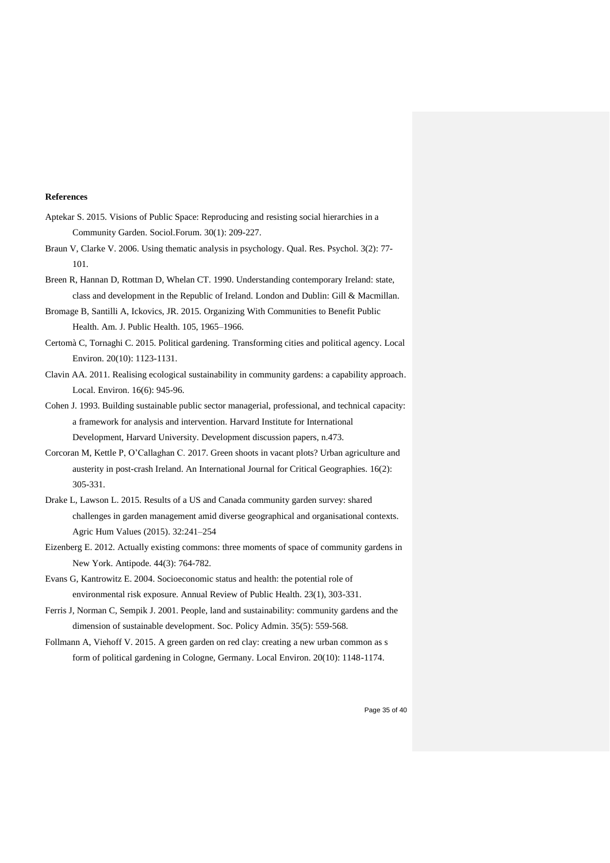#### **References**

- Aptekar S. 2015. Visions of Public Space: Reproducing and resisting social hierarchies in a Community Garden. Sociol.Forum. 30(1): 209-227.
- Braun V, Clarke V. 2006. Using thematic analysis in psychology. Qual. Res. Psychol. 3(2): 77- 101.
- Breen R, Hannan D, Rottman D, Whelan CT. 1990. Understanding contemporary Ireland: state, class and development in the Republic of Ireland*.* London and Dublin: Gill & Macmillan.
- Bromage B, Santilli A, Ickovics, JR. 2015. Organizing With Communities to Benefit Public Health. Am. J. Public Health. 105, 1965–1966.
- Certomà C, Tornaghi C. 2015. Political gardening. Transforming cities and political agency. Local Environ. 20(10): 1123-1131.
- Clavin AA. 2011. Realising ecological sustainability in community gardens: a capability approach. Local. Environ. 16(6): 945-96.
- Cohen J. 1993. Building sustainable public sector managerial, professional, and technical capacity: a framework for analysis and intervention. Harvard Institute for International Development, Harvard University. Development discussion papers, n.473.
- Corcoran M, Kettle P, O'Callaghan C. 2017. Green shoots in vacant plots? Urban agriculture and austerity in post-crash Ireland. An International Journal for Critical Geographies. 16(2): 305-331.
- Drake L, Lawson L. 2015. Results of a US and Canada community garden survey: shared challenges in garden management amid diverse geographical and organisational contexts. Agric Hum Values (2015). 32:241–254
- Eizenberg E. 2012. Actually existing commons: three moments of space of community gardens in New York. Antipode. 44(3): 764-782.
- Evans G, Kantrowitz E. 2004. Socioeconomic status and health: the potential role of environmental risk exposure. Annual Review of Public Health. 23(1), 303-331.
- Ferris J, Norman C, Sempik J. 2001. People, land and sustainability: community gardens and the dimension of sustainable development. Soc. Policy Admin. 35(5): 559-568.
- Follmann A, Viehoff V. 2015. A green garden on red clay: creating a new urban common as s form of political gardening in Cologne, Germany. Local Environ. 20(10): 1148-1174.

Page 35 of 40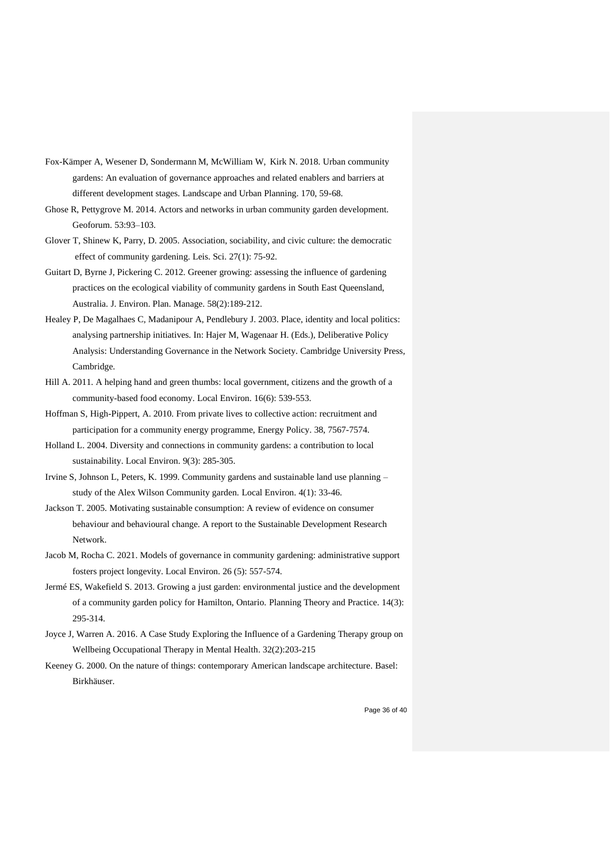- Fox-Kämper A, Wesener D, Sondermann M, McWilliam W, Kirk N. 2018. Urban community gardens: An evaluation of governance approaches and related enablers and barriers at different development stages. Landscape and Urban Planning. 170, 59-68.
- Ghose R, Pettygrove M. 2014. Actors and networks in urban community garden development. Geoforum. 53:93–103.
- Glover T, Shinew K, Parry, D. 2005. Association, sociability, and civic culture: the democratic effect of community gardening. Leis. Sci. 27(1): 75-92.
- Guitart D, Byrne J, Pickering C. 2012. Greener growing: assessing the influence of gardening practices on the ecological viability of community gardens in South East Queensland, Australia. J. Environ. Plan. Manage. 58(2):189-212.
- Healey P, De Magalhaes C, Madanipour A, Pendlebury J. 2003. Place, identity and local politics: analysing partnership initiatives. In: Hajer M, Wagenaar H. (Eds.), Deliberative Policy Analysis: Understanding Governance in the Network Society. Cambridge University Press, Cambridge.
- Hill A. 2011. A helping hand and green thumbs: local government, citizens and the growth of a community-based food economy. Local Environ. 16(6): 539-553.
- Hoffman S, High-Pippert, A. 2010. From private lives to collective action: recruitment and participation for a community energy programme, Energy Policy. 38, 7567-7574.
- Holland L. 2004. Diversity and connections in community gardens: a contribution to local sustainability. Local Environ. 9(3): 285-305.
- Irvine S, Johnson L, Peters, K. 1999. Community gardens and sustainable land use planning study of the Alex Wilson Community garden. Local Environ. 4(1): 33-46.
- Jackson T. 2005. Motivating sustainable consumption: A review of evidence on consumer behaviour and behavioural change. A report to the Sustainable Development Research Network.
- Jacob M, Rocha C. 2021. Models of governance in community gardening: administrative support fosters project longevity. Local Environ. 26 (5): 557-574.
- Jermé ES, Wakefield S. 2013. Growing a just garden: environmental justice and the development of a community garden policy for Hamilton, Ontario. Planning Theory and Practice. 14(3): 295-314.
- Joyce J, Warren A. 2016. A Case Study Exploring the Influence of a Gardening Therapy group on Wellbeing Occupational Therapy in Mental Health. 32(2):203-215
- Keeney G. 2000. On the nature of things: contemporary American landscape architecture. Basel: Birkhäuser.

Page 36 of 40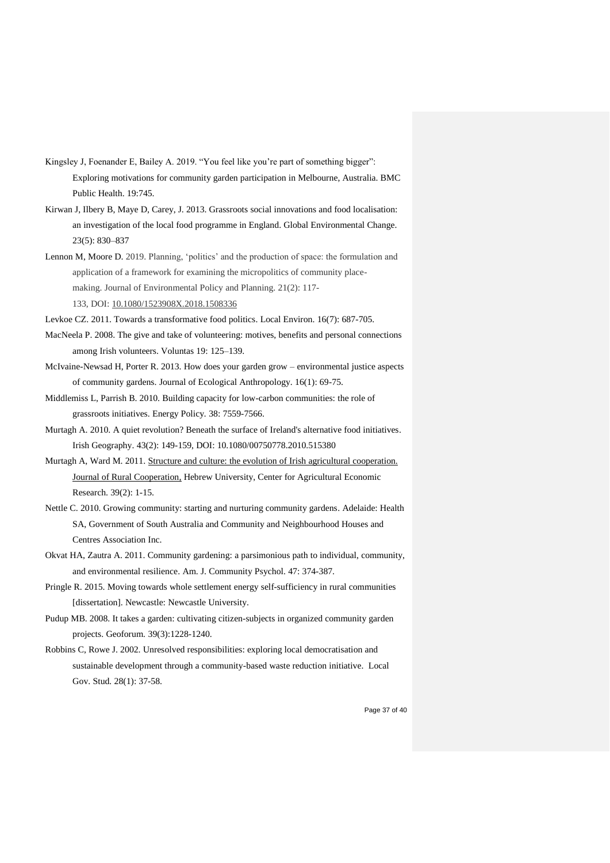- Kingsley J, Foenander E, Bailey A. 2019. "You feel like you're part of something bigger": Exploring motivations for community garden participation in Melbourne, Australia. BMC Public Health. 19:745.
- Kirwan J, Ilbery B, Maye D, Carey, J. 2013. Grassroots social innovations and food localisation: an investigation of the local food programme in England. Global Environmental Change. 23(5): 830–837
- Lennon M, Moore D. 2019. Planning, 'politics' and the production of space: the formulation and application of a framework for examining the micropolitics of community placemaking. Journal of Environmental Policy and Planning. 21(2): 117- 133, DOI: [10.1080/1523908X.2018.1508336](https://doi.org/10.1080/1523908X.2018.1508336)
	-
- Levkoe CZ. 2011. Towards a transformative food politics. Local Environ. 16(7): 687-705.
- MacNeela P. 2008. The give and take of volunteering: motives, benefits and personal connections among Irish volunteers. Voluntas 19: 125–139.
- McIvaine-Newsad H, Porter R. 2013. How does your garden grow environmental justice aspects of community gardens. Journal of Ecological Anthropology. 16(1): 69-75.
- Middlemiss L, Parrish B. 2010. Building capacity for low-carbon communities: the role of grassroots initiatives. Energy Policy*.* 38: 7559-7566.
- Murtagh A. 2010. A quiet revolution? Beneath the surface of Ireland's alternative food initiatives. Irish Geography. 43(2): 149-159, DOI: 10.1080/00750778.2010.515380
- Murtagh A, Ward M. 2011. [Structure and culture: the evolution of Irish agricultural cooperation.](https://ideas.repec.org/a/ags/jlorco/163922.html) [Journal of Rural Cooperation,](https://ideas.repec.org/s/ags/jlorco.html) Hebrew University, Center for Agricultural Economic Research. 39(2): 1-15.
- Nettle C. 2010. Growing community: starting and nurturing community gardens. Adelaide: Health SA, Government of South Australia and Community and Neighbourhood Houses and Centres Association Inc.
- Okvat HA, Zautra A. 2011. Community gardening: a parsimonious path to individual, community, and environmental resilience. Am. J. Community Psychol. 47: 374-387.
- Pringle R. 2015. Moving towards whole settlement energy self-sufficiency in rural communities [dissertation]. Newcastle: Newcastle University.
- Pudup MB. 2008. It takes a garden: cultivating citizen-subjects in organized community garden projects. Geoforum*.* 39(3):1228-1240.
- Robbins C, Rowe J. 2002. Unresolved responsibilities: exploring local democratisation and sustainable development through a community-based waste reduction initiative. Local Gov. Stud*.* 28(1): 37-58.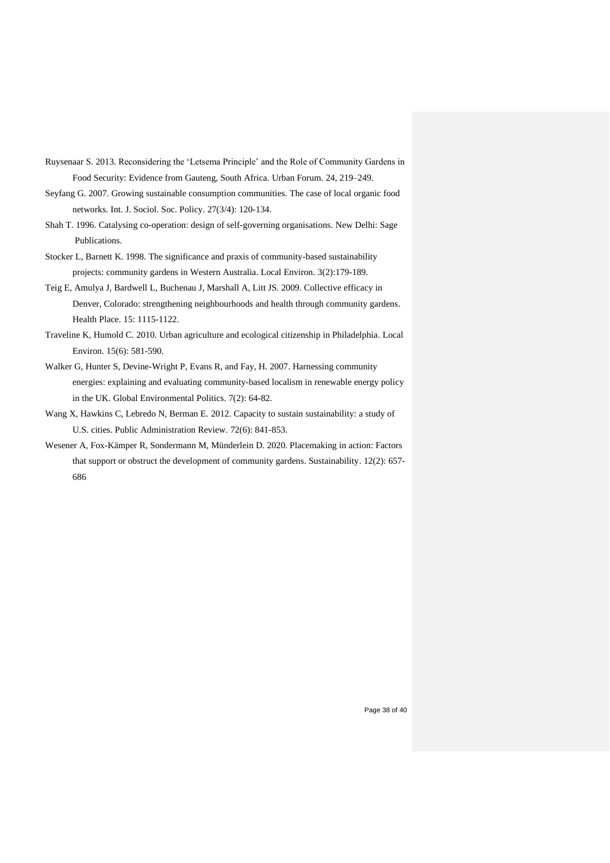- Ruysenaar S. 2013. Reconsidering the 'Letsema Principle' and the Role of Community Gardens in Food Security: Evidence from Gauteng, South Africa. Urban Forum. 24, 219–249.
- Seyfang G. 2007. Growing sustainable consumption communities. The case of local organic food networks. Int. J. Sociol. Soc. Policy. 27(3/4): 120-134.
- Shah T. 1996. Catalysing co-operation: design of self-governing organisations. New Delhi: Sage Publications.
- Stocker L, Barnett K. 1998. The significance and praxis of community-based sustainability projects: community gardens in Western Australia. Local Environ. 3(2):179-189.
- Teig E, Amulya J, Bardwell L, Buchenau J, Marshall A, Litt JS. 2009. Collective efficacy in Denver, Colorado: strengthening neighbourhoods and health through community gardens. Health Place. 15: 1115-1122.
- Traveline K, Humold C. 2010. Urban agriculture and ecological citizenship in Philadelphia. Local Environ. 15(6): 581-590.
- Walker G, Hunter S, Devine-Wright P, Evans R, and Fay, H. 2007. Harnessing community energies: explaining and evaluating community-based localism in renewable energy policy in the UK. Global Environmental Politics. 7(2): 64-82.
- [Wang](https://www.researchgate.net/profile/Xiaohu-Wang-7?_sg%5B0%5D=zdKEnjbvi-m5dmTs3qZB-eFHn2XAhBa-UJIr1AOKHBGXnvs3xxfLrKoAqzQbSSV41V5OJN4.x8MWjWF9Dsf0c-KHuaQnKpn89K6cwBj30ptj2dXLlzswrQl0rzmTYol7D6xoqVSUKri0qO6mYLzoTCOEtDLWAw&_sg%5B1%5D=vRWuRy5EYCO6d439Xt1dBYL9N2ISGNBDD8hlmAzijKJMYGX2eNMJcA0Os8SUaPuKCWv86YU.SOL_cOVmEZZPDdnnDwXnmPSy84Q8VT5tsAmYZYskrr6nxMjodZ8B3fV4XTKD-4GcGpiUASu5hik6fRjaO88YRw) X, Hawkins C, Lebredo N, Berman E. 2012. Capacity to sustain sustainability: a study of U.S. cities. Public Administration Review. 72(6): 841-853.
- Wesener A, Fox-Kämper R, Sondermann M, Münderlein D. 2020. Placemaking in action: Factors that support or obstruct the development of community gardens. Sustainability. 12(2): 657- 686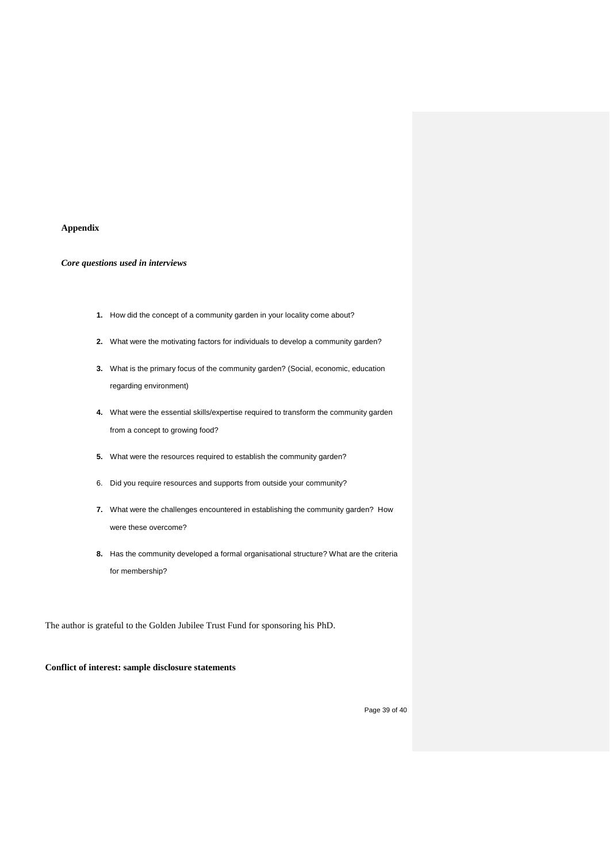#### **Appendix**

# *Core questions used in interviews*

- **1.** How did the concept of a community garden in your locality come about?
- **2.** What were the motivating factors for individuals to develop a community garden?
- **3.** What is the primary focus of the community garden? (Social, economic, education regarding environment)
- **4.** What were the essential skills/expertise required to transform the community garden from a concept to growing food?
- **5.** What were the resources required to establish the community garden?
- 6. Did you require resources and supports from outside your community?
- **7.** What were the challenges encountered in establishing the community garden? How were these overcome?
- **8.** Has the community developed a formal organisational structure? What are the criteria for membership?

The author is grateful to the Golden Jubilee Trust Fund for sponsoring his PhD.

# **Conflict of interest: sample disclosure statements**